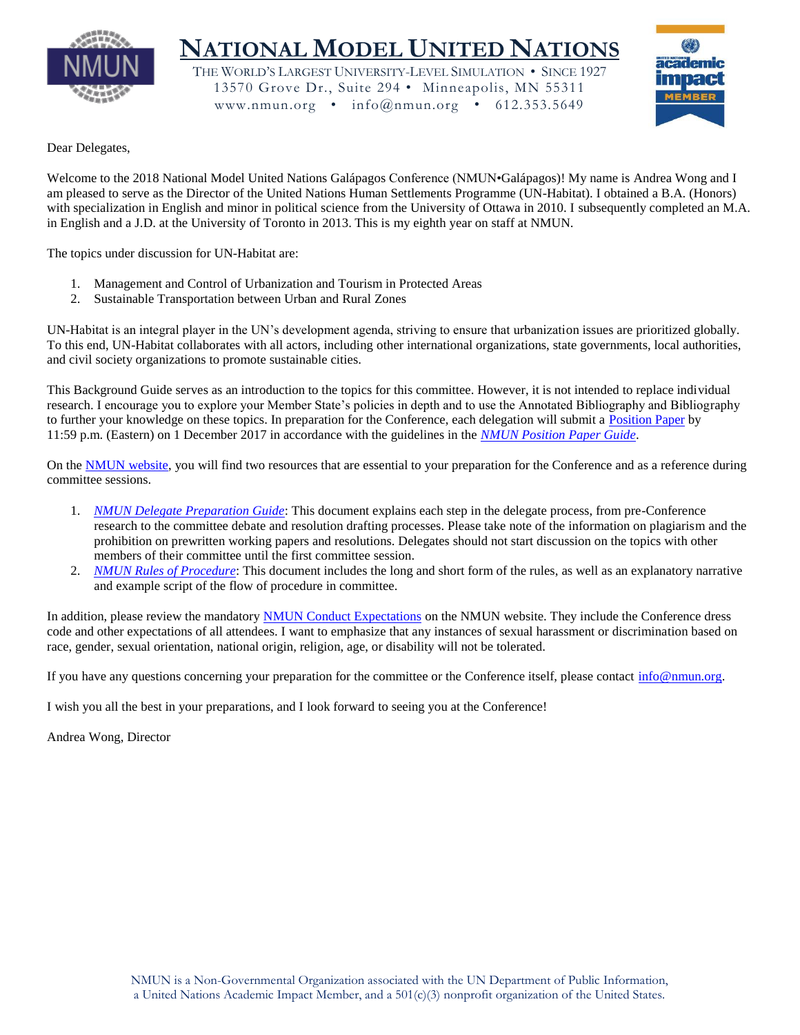

# **NATIONAL MODEL UNITED NATIONS**

THE WORLD'S LARGEST UNIVERSITY-LEVEL SIMULATION • SINCE 1927 13570 Grove Dr., Suite 294 • Minneapolis, MN 55311 www.nmun.org • info@nmun.org • 612.353.5649



# Dear Delegates,

Welcome to the 2018 National Model United Nations Galápagos Conference (NMUN•Galápagos)! My name is Andrea Wong and I am pleased to serve as the Director of the United Nations Human Settlements Programme (UN-Habitat). I obtained a B.A. (Honors) with specialization in English and minor in political science from the University of Ottawa in 2010. I subsequently completed an M.A. in English and a J.D. at the University of Toronto in 2013. This is my eighth year on staff at NMUN.

The topics under discussion for UN-Habitat are:

- 1. Management and Control of Urbanization and Tourism in Protected Areas
- 2. Sustainable Transportation between Urban and Rural Zones

UN-Habitat is an integral player in the UN's development agenda, striving to ensure that urbanization issues are prioritized globally. To this end, UN-Habitat collaborates with all actors, including other international organizations, state governments, local authorities, and civil society organizations to promote sustainable cities.

This Background Guide serves as an introduction to the topics for this committee. However, it is not intended to replace individual research. I encourage you to explore your Member State's policies in depth and to use the Annotated Bibliography and Bibliography to further your knowledge on these topics. In preparation for the Conference, each delegation will submit a [Position Paper](http://www.nmun.org/conferences/galapagos/prepare-for-committee/position-papers.html) by 11:59 p.m. (Eastern) on 1 December 2017 in accordance with the guidelines in the *[NMUN Position Paper Guide](http://www.nmun.org/assets/documents/NMUNPPGuide.pdf)*.

On the [NMUN website,](http://www.nmun.org/conferences/galapagos/prepare-for-committee/committee-materials.html) you will find two resources that are essential to your preparation for the Conference and as a reference during committee sessions.

- 1. *[NMUN Delegate Preparation Guide](http://www.nmun.org/assets/documents/NMUNDelegatePrepGuide.pdf)*: This document explains each step in the delegate process, from pre-Conference research to the committee debate and resolution drafting processes. Please take note of the information on plagiarism and the prohibition on prewritten working papers and resolutions. Delegates should not start discussion on the topics with other members of their committee until the first committee session.
- 2. *[NMUN Rules of Procedure](http://www.nmun.org/assets/documents/NMUNRules.pdf)*: This document includes the long and short form of the rules, as well as an explanatory narrative and example script of the flow of procedure in committee.

In addition, please review the mandatory [NMUN Conduct Expectations](http://www.nmun.org/conduct-expectations.html) on the NMUN website. They include the Conference dress code and other expectations of all attendees. I want to emphasize that any instances of sexual harassment or discrimination based on race, gender, sexual orientation, national origin, religion, age, or disability will not be tolerated.

If you have any questions concerning your preparation for the committee or the Conference itself, please contact [info@nmun.org.](mailto:info@nmun.org)

I wish you all the best in your preparations, and I look forward to seeing you at the Conference!

Andrea Wong, Director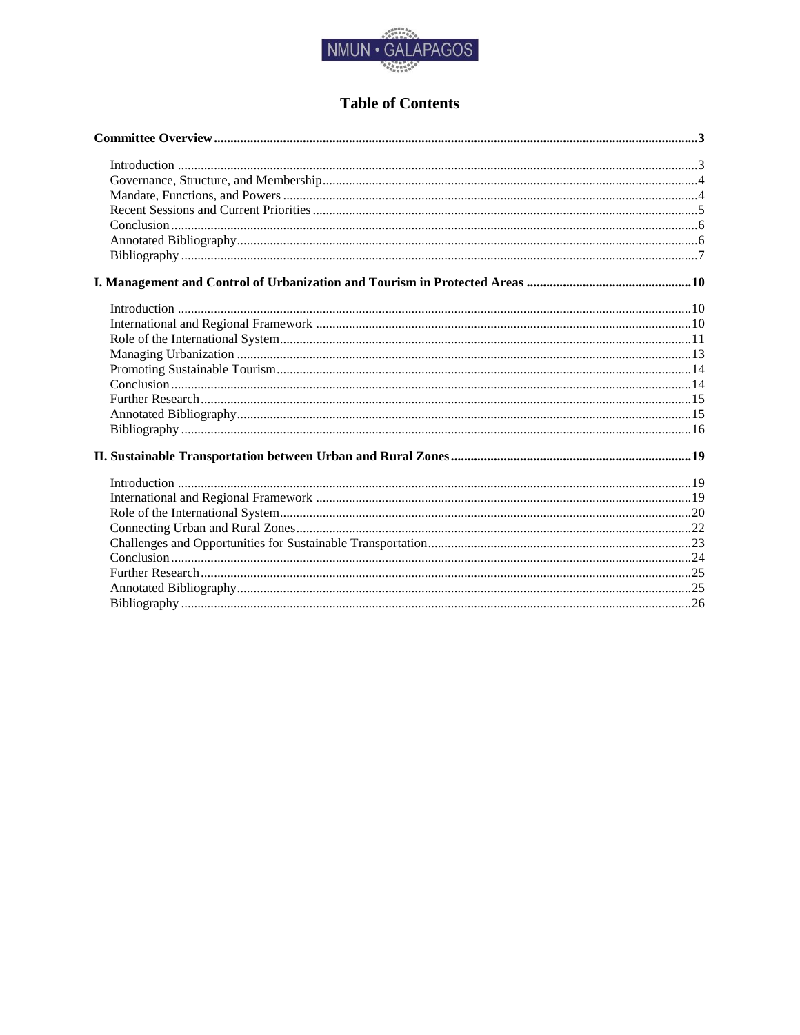

# **Table of Contents**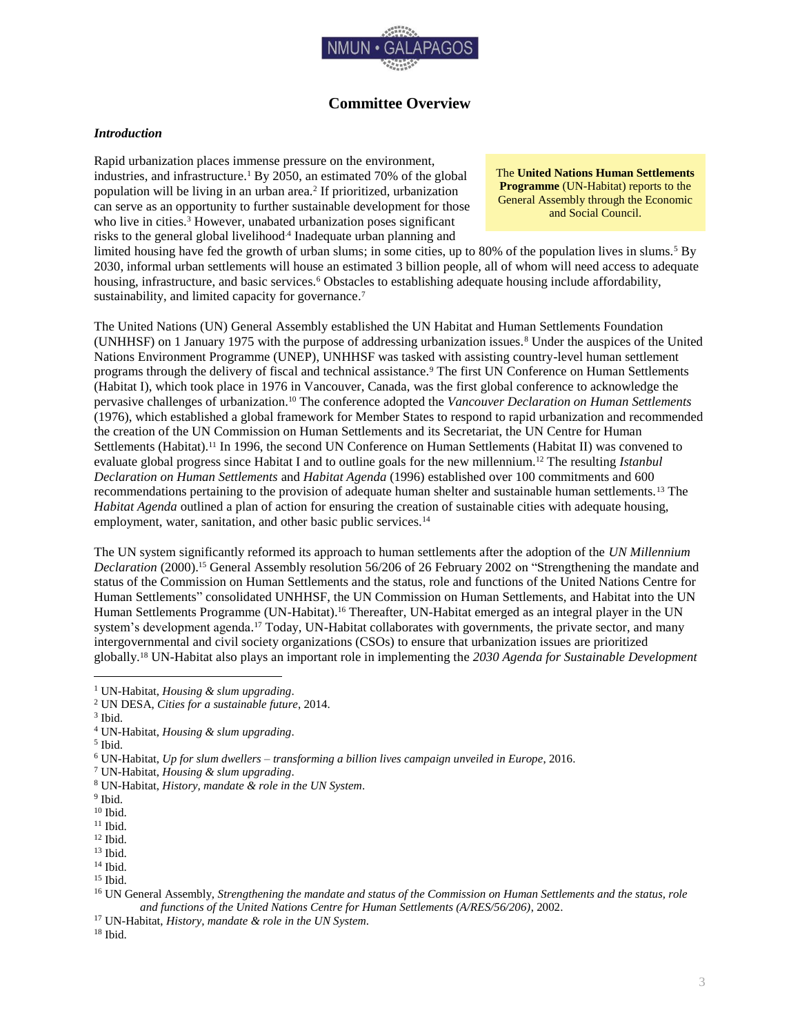

# **Committee Overview**

# <span id="page-3-1"></span><span id="page-3-0"></span>*Introduction*

Rapid urbanization places immense pressure on the environment, industries, and infrastructure. <sup>1</sup> By 2050, an estimated 70% of the global population will be living in an urban area.<sup>2</sup> If prioritized, urbanization can serve as an opportunity to further sustainable development for those who live in cities.<sup>3</sup> However, unabated urbanization poses significant risks to the general global livelihood<sup>4</sup> Inadequate urban planning and

The **United Nations Human Settlements Programme** (UN-Habitat) reports to the General Assembly through the Economic and Social Council.

limited housing have fed the growth of urban slums; in some cities, up to 80% of the population lives in slums.<sup>5</sup> By 2030, informal urban settlements will house an estimated 3 billion people, all of whom will need access to adequate housing, infrastructure, and basic services.<sup>6</sup> Obstacles to establishing adequate housing include affordability, sustainability, and limited capacity for governance.<sup>7</sup>

The United Nations (UN) General Assembly established the UN Habitat and Human Settlements Foundation (UNHHSF) on 1 January 1975 with the purpose of addressing urbanization issues.<sup>8</sup> Under the auspices of the United Nations Environment Programme (UNEP), UNHHSF was tasked with assisting country-level human settlement programs through the delivery of fiscal and technical assistance.<sup>9</sup> The first UN Conference on Human Settlements (Habitat I), which took place in 1976 in Vancouver, Canada, was the first global conference to acknowledge the pervasive challenges of urbanization.<sup>10</sup> The conference adopted the *Vancouver Declaration on Human Settlements* (1976), which established a global framework for Member States to respond to rapid urbanization and recommended the creation of the UN Commission on Human Settlements and its Secretariat, the UN Centre for Human Settlements (Habitat).<sup>11</sup> In 1996, the second UN Conference on Human Settlements (Habitat II) was convened to evaluate global progress since Habitat I and to outline goals for the new millennium.<sup>12</sup> The resulting *Istanbul Declaration on Human Settlements* and *Habitat Agenda* (1996) established over 100 commitments and 600 recommendations pertaining to the provision of adequate human shelter and sustainable human settlements.<sup>13</sup> The *Habitat Agenda* outlined a plan of action for ensuring the creation of sustainable cities with adequate housing, employment, water, sanitation, and other basic public services.<sup>14</sup>

The UN system significantly reformed its approach to human settlements after the adoption of the *UN Millennium Declaration* (2000).<sup>15</sup> General Assembly resolution 56/206 of 26 February 2002 on "Strengthening the mandate and status of the Commission on Human Settlements and the status, role and functions of the United Nations Centre for Human Settlements" consolidated UNHHSF, the UN Commission on Human Settlements, and Habitat into the UN Human Settlements Programme (UN-Habitat).<sup>16</sup> Thereafter, UN-Habitat emerged as an integral player in the UN system's development agenda.<sup>17</sup> Today, UN-Habitat collaborates with governments, the private sector, and many intergovernmental and civil society organizations (CSOs) to ensure that urbanization issues are prioritized globally.<sup>18</sup> UN-Habitat also plays an important role in implementing the *2030 Agenda for Sustainable Development*

 $\overline{a}$ 

 $^{\rm 13}$  Ibid.

<sup>18</sup> Ibid.

<sup>1</sup> UN-Habitat, *Housing & slum upgrading*.

<sup>2</sup> UN DESA, *Cities for a sustainable future*, 2014.

<sup>3</sup> Ibid.

<sup>4</sup> UN-Habitat, *Housing & slum upgrading*.

<sup>5</sup> Ibid.

<sup>6</sup> UN-Habitat, *Up for slum dwellers – transforming a billion lives campaign unveiled in Europe*, 2016.

<sup>7</sup> UN-Habitat, *Housing & slum upgrading*.

<sup>8</sup> UN-Habitat, *History, mandate & role in the UN System*.

<sup>9</sup> Ibid.

 $^{10}$  Ibid.

 $^{\rm 11}$  Ibid.

 $^{12}$  Ibid.

<sup>14</sup> Ibid.

<sup>15</sup> Ibid.

<sup>16</sup> UN General Assembly, *Strengthening the mandate and status of the Commission on Human Settlements and the status, role and functions of the United Nations Centre for Human Settlements (A/RES/56/206)*, 2002.

<sup>17</sup> UN-Habitat, *History, mandate & role in the UN System*.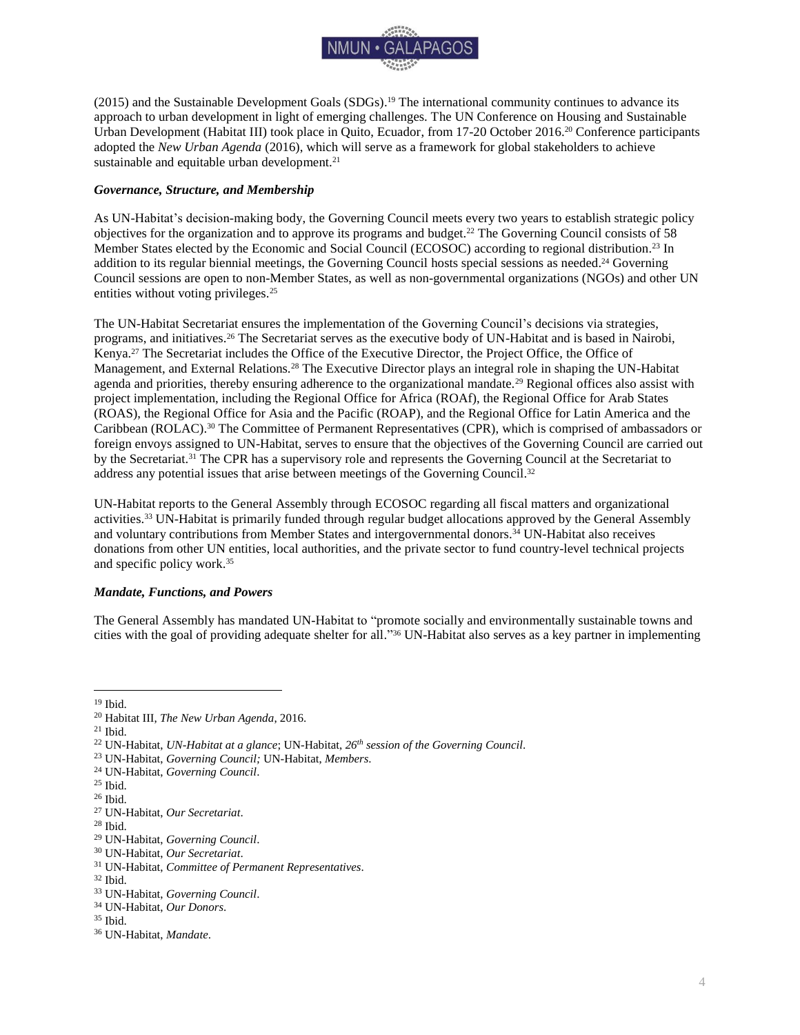

(2015) and the Sustainable Development Goals (SDGs). <sup>19</sup> The international community continues to advance its approach to urban development in light of emerging challenges. The UN Conference on Housing and Sustainable Urban Development (Habitat III) took place in Quito, Ecuador, from 17-20 October 2016.<sup>20</sup> Conference participants adopted the *New Urban Agenda* (2016), which will serve as a framework for global stakeholders to achieve sustainable and equitable urban development.<sup>21</sup>

# <span id="page-4-0"></span>*Governance, Structure, and Membership*

As UN-Habitat's decision-making body, the Governing Council meets every two years to establish strategic policy objectives for the organization and to approve its programs and budget.<sup>22</sup> The Governing Council consists of 58 Member States elected by the Economic and Social Council (ECOSOC) according to regional distribution.<sup>23</sup> In addition to its regular biennial meetings, the Governing Council hosts special sessions as needed.<sup>24</sup> Governing Council sessions are open to non-Member States, as well as non-governmental organizations (NGOs) and other UN entities without voting privileges.<sup>25</sup>

The UN-Habitat Secretariat ensures the implementation of the Governing Council's decisions via strategies, programs, and initiatives.<sup>26</sup> The Secretariat serves as the executive body of UN-Habitat and is based in Nairobi, Kenya.<sup>27</sup> The Secretariat includes the Office of the Executive Director, the Project Office, the Office of Management, and External Relations.<sup>28</sup> The Executive Director plays an integral role in shaping the UN-Habitat agenda and priorities, thereby ensuring adherence to the organizational mandate.<sup>29</sup> Regional offices also assist with project implementation, including the Regional Office for Africa (ROAf), the Regional Office for Arab States (ROAS), the Regional Office for Asia and the Pacific (ROAP), and the Regional Office for Latin America and the Caribbean (ROLAC).<sup>30</sup> The Committee of Permanent Representatives (CPR), which is comprised of ambassadors or foreign envoys assigned to UN-Habitat, serves to ensure that the objectives of the Governing Council are carried out by the Secretariat.<sup>31</sup> The CPR has a supervisory role and represents the Governing Council at the Secretariat to address any potential issues that arise between meetings of the Governing Council. 32

UN-Habitat reports to the General Assembly through ECOSOC regarding all fiscal matters and organizational activities.<sup>33</sup> UN-Habitat is primarily funded through regular budget allocations approved by the General Assembly and voluntary contributions from Member States and intergovernmental donors.<sup>34</sup> UN-Habitat also receives donations from other UN entities, local authorities, and the private sector to fund country-level technical projects and specific policy work. 35

#### <span id="page-4-1"></span>*Mandate, Functions, and Powers*

The General Assembly has mandated UN-Habitat to "promote socially and environmentally sustainable towns and cities with the goal of providing adequate shelter for all." <sup>36</sup> UN-Habitat also serves as a key partner in implementing

 $\overline{a}$ <sup>19</sup> Ibid.

- <sup>34</sup> UN-Habitat, *Our Donors*.
- <sup>35</sup> Ibid.

<sup>20</sup> Habitat III, *The New Urban Agenda*, 2016.

 $21$  Ibid.

<sup>22</sup> UN-Habitat, *UN-Habitat at a glance*; UN-Habitat, *26th session of the Governing Council*.

<sup>23</sup> UN-Habitat, *Governing Council;* UN-Habitat, *Members*.

<sup>24</sup> UN-Habitat, *Governing Council*.

 $^{25}$  Ibid.  $\,$ 

<sup>26</sup> Ibid.

<sup>27</sup> UN-Habitat, *Our Secretariat*.

<sup>28</sup> Ibid.

<sup>29</sup> UN-Habitat, *Governing Council*.

<sup>30</sup> UN-Habitat, *Our Secretariat*.

<sup>31</sup> UN-Habitat, *Committee of Permanent Representatives*.

<sup>32</sup> Ibid.

<sup>33</sup> UN-Habitat, *Governing Council*.

<sup>36</sup> UN-Habitat, *Mandate*.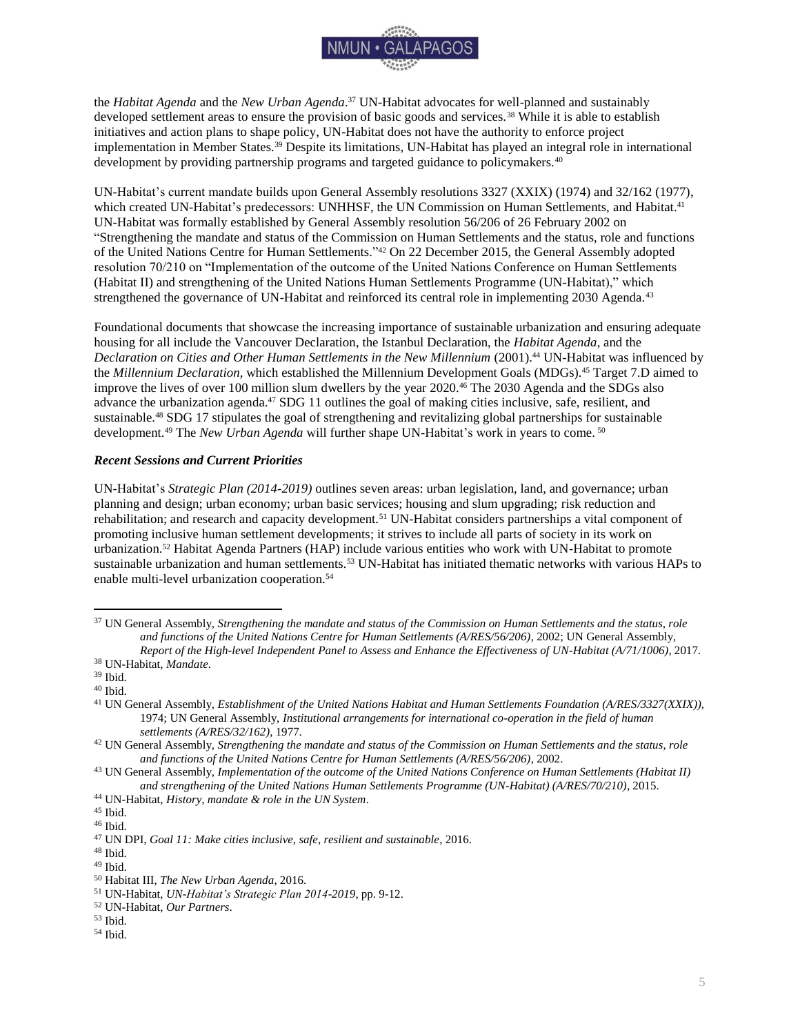

the *Habitat Agenda* and the *New Urban Agenda*. <sup>37</sup> UN-Habitat advocates for well-planned and sustainably developed settlement areas to ensure the provision of basic goods and services.<sup>38</sup> While it is able to establish initiatives and action plans to shape policy, UN-Habitat does not have the authority to enforce project implementation in Member States.<sup>39</sup> Despite its limitations, UN-Habitat has played an integral role in international development by providing partnership programs and targeted guidance to policymakers.<sup>40</sup>

UN-Habitat's current mandate builds upon General Assembly resolutions 3327 (XXIX) (1974) and 32/162 (1977), which created UN-Habitat's predecessors: UNHHSF, the UN Commission on Human Settlements, and Habitat.<sup>41</sup> UN-Habitat was formally established by General Assembly resolution 56/206 of 26 February 2002 on "Strengthening the mandate and status of the Commission on Human Settlements and the status, role and functions of the United Nations Centre for Human Settlements."<sup>42</sup> On 22 December 2015, the General Assembly adopted resolution 70/210 on "Implementation of the outcome of the United Nations Conference on Human Settlements (Habitat II) and strengthening of the United Nations Human Settlements Programme (UN-Habitat)," which strengthened the governance of UN-Habitat and reinforced its central role in implementing 2030 Agenda.<sup>43</sup>

Foundational documents that showcase the increasing importance of sustainable urbanization and ensuring adequate housing for all include the Vancouver Declaration, the Istanbul Declaration, the *Habitat Agenda*, and the *Declaration on Cities and Other Human Settlements in the New Millennium* (2001).<sup>44</sup> UN-Habitat was influenced by the *Millennium Declaration*, which established the Millennium Development Goals (MDGs).<sup>45</sup> Target 7.D aimed to improve the lives of over 100 million slum dwellers by the year 2020.<sup>46</sup> The 2030 Agenda and the SDGs also advance the urbanization agenda.<sup>47</sup> SDG 11 outlines the goal of making cities inclusive, safe, resilient, and sustainable.<sup>48</sup> SDG 17 stipulates the goal of strengthening and revitalizing global partnerships for sustainable development.<sup>49</sup> The *New Urban Agenda* will further shape UN-Habitat's work in years to come. <sup>50</sup>

## <span id="page-5-0"></span>*Recent Sessions and Current Priorities*

UN-Habitat's *Strategic Plan (2014-2019)* outlines seven areas: urban legislation, land, and governance; urban planning and design; urban economy; urban basic services; housing and slum upgrading; risk reduction and rehabilitation; and research and capacity development.<sup>51</sup> UN-Habitat considers partnerships a vital component of promoting inclusive human settlement developments; it strives to include all parts of society in its work on urbanization.<sup>52</sup> Habitat Agenda Partners (HAP) include various entities who work with UN-Habitat to promote sustainable urbanization and human settlements.<sup>53</sup> UN-Habitat has initiated thematic networks with various HAPs to enable multi-level urbanization cooperation.<sup>54</sup>

<sup>37</sup> UN General Assembly, *Strengthening the mandate and status of the Commission on Human Settlements and the status, role and functions of the United Nations Centre for Human Settlements (A/RES/56/206)*, 2002; UN General Assembly, *Report of the High-level Independent Panel to Assess and Enhance the Effectiveness of UN-Habitat (A/71/1006)*, 2017.

<sup>38</sup> UN-Habitat, *Mandate*.

<sup>39</sup> Ibid.

<sup>40</sup> Ibid.

<sup>41</sup> UN General Assembly, *Establishment of the United Nations Habitat and Human Settlements Foundation (A/RES/3327(XXIX)),*  1974; UN General Assembly, *Institutional arrangements for international co-operation in the field of human settlements (A/RES/32/162)*, 1977.

<sup>42</sup> UN General Assembly, *Strengthening the mandate and status of the Commission on Human Settlements and the status, role and functions of the United Nations Centre for Human Settlements (A/RES/56/206)*, 2002.

<sup>43</sup> UN General Assembly, *Implementation of the outcome of the United Nations Conference on Human Settlements (Habitat II) and strengthening of the United Nations Human Settlements Programme (UN-Habitat) (A/RES/70/210)*, 2015.

<sup>44</sup> UN-Habitat, *History, mandate & role in the UN System*.

 $45$  Ibid.

 $^{46}$  Ibid.

<sup>47</sup> UN DPI, *Goal 11: Make cities inclusive, safe, resilient and sustainable*, 2016.

<sup>48</sup> Ibid.

 $49$  Ibid.

<sup>50</sup> Habitat III, *The New Urban Agenda*, 2016.

<sup>51</sup> UN-Habitat, *UN-Habitat's Strategic Plan 2014-2019*, pp. 9-12.

<sup>52</sup> UN-Habitat, *Our Partners*.

<sup>53</sup> Ibid.

<sup>54</sup> Ibid.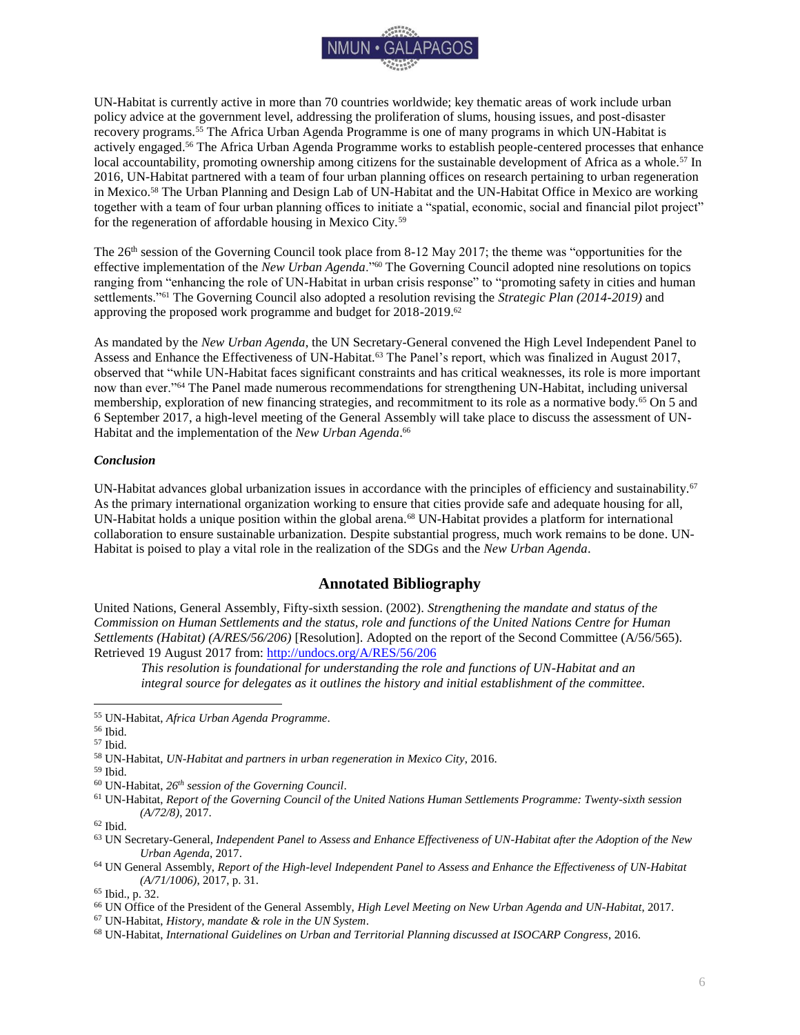

UN-Habitat is currently active in more than 70 countries worldwide; key thematic areas of work include urban policy advice at the government level, addressing the proliferation of slums, housing issues, and post-disaster recovery programs.<sup>55</sup> The Africa Urban Agenda Programme is one of many programs in which UN-Habitat is actively engaged.<sup>56</sup> The Africa Urban Agenda Programme works to establish people-centered processes that enhance local accountability, promoting ownership among citizens for the sustainable development of Africa as a whole.<sup>57</sup> In 2016, UN-Habitat partnered with a team of four urban planning offices on research pertaining to urban regeneration in Mexico.<sup>58</sup> The Urban Planning and Design Lab of UN-Habitat and the UN-Habitat Office in Mexico are working together with a team of four urban planning offices to initiate a "spatial, economic, social and financial pilot project" for the regeneration of affordable housing in Mexico City.<sup>59</sup>

The 26<sup>th</sup> session of the Governing Council took place from 8-12 May 2017; the theme was "opportunities for the effective implementation of the *New Urban Agenda*."<sup>60</sup> The Governing Council adopted nine resolutions on topics ranging from "enhancing the role of UN-Habitat in urban crisis response" to "promoting safety in cities and human settlements."<sup>61</sup> The Governing Council also adopted a resolution revising the *Strategic Plan (2014-2019)* and approving the proposed work programme and budget for 2018-2019.<sup>62</sup>

As mandated by the *New Urban Agenda*, the UN Secretary-General convened the High Level Independent Panel to Assess and Enhance the Effectiveness of UN-Habitat.<sup>63</sup> The Panel's report, which was finalized in August 2017, observed that "while UN-Habitat faces significant constraints and has critical weaknesses, its role is more important now than ever."<sup>64</sup> The Panel made numerous recommendations for strengthening UN-Habitat, including universal membership, exploration of new financing strategies, and recommitment to its role as a normative body.<sup>65</sup> On 5 and 6 September 2017, a high-level meeting of the General Assembly will take place to discuss the assessment of UN-Habitat and the implementation of the *New Urban Agenda*. 66

## <span id="page-6-0"></span>*Conclusion*

UN-Habitat advances global urbanization issues in accordance with the principles of efficiency and sustainability.<sup>67</sup> As the primary international organization working to ensure that cities provide safe and adequate housing for all, UN-Habitat holds a unique position within the global arena.<sup>68</sup> UN-Habitat provides a platform for international collaboration to ensure sustainable urbanization. Despite substantial progress, much work remains to be done. UN-Habitat is poised to play a vital role in the realization of the SDGs and the *New Urban Agenda*.

# **Annotated Bibliography**

<span id="page-6-1"></span>United Nations, General Assembly, Fifty-sixth session. (2002). *Strengthening the mandate and status of the Commission on Human Settlements and the status, role and functions of the United Nations Centre for Human Settlements (Habitat) (A/RES/56/206)* [Resolution]. Adopted on the report of the Second Committee (A/56/565). Retrieved 19 August 2017 from: <http://undocs.org/A/RES/56/206>

*This resolution is foundational for understanding the role and functions of UN-Habitat and an integral source for delegates as it outlines the history and initial establishment of the committee.* 

 $\overline{a}$ 

<sup>65</sup> Ibid., p. 32.

<sup>67</sup> UN-Habitat, *History, mandate & role in the UN System*.

<sup>55</sup> UN-Habitat, *Africa Urban Agenda Programme*.

<sup>56</sup> Ibid.

<sup>57</sup> Ibid.

<sup>58</sup> UN-Habitat, *UN-Habitat and partners in urban regeneration in Mexico City*, 2016.

<sup>59</sup> Ibid.

<sup>60</sup> UN-Habitat, *26th session of the Governing Council*.

<sup>61</sup> UN-Habitat, *Report of the Governing Council of the United Nations Human Settlements Programme: Twenty-sixth session (A/72/8)*, 2017.

 $^{62}$  Ibid.

<sup>63</sup> UN Secretary-General, *Independent Panel to Assess and Enhance Effectiveness of UN-Habitat after the Adoption of the New Urban Agenda*, 2017.

<sup>64</sup> UN General Assembly, *Report of the High-level Independent Panel to Assess and Enhance the Effectiveness of UN-Habitat (A/71/1006)*, 2017, p. 31.

<sup>66</sup> UN Office of the President of the General Assembly, *High Level Meeting on New Urban Agenda and UN-Habitat*, 2017.

<sup>68</sup> UN-Habitat, *International Guidelines on Urban and Territorial Planning discussed at ISOCARP Congress*, 2016.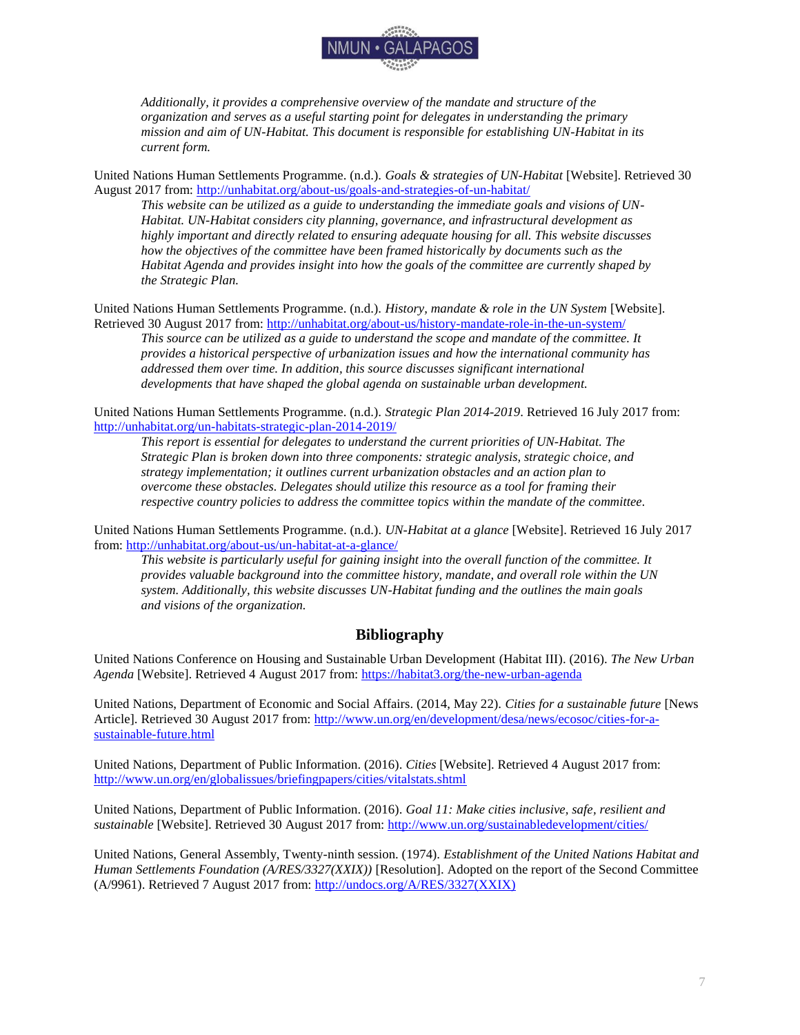

*Additionally, it provides a comprehensive overview of the mandate and structure of the organization and serves as a useful starting point for delegates in understanding the primary mission and aim of UN-Habitat. This document is responsible for establishing UN-Habitat in its current form.* 

United Nations Human Settlements Programme. (n.d.). *Goals & strategies of UN-Habitat* [Website]. Retrieved 30 August 2017 from: <http://unhabitat.org/about-us/goals-and-strategies-of-un-habitat/>

*This website can be utilized as a guide to understanding the immediate goals and visions of UN-Habitat. UN-Habitat considers city planning, governance, and infrastructural development as highly important and directly related to ensuring adequate housing for all. This website discusses how the objectives of the committee have been framed historically by documents such as the Habitat Agenda and provides insight into how the goals of the committee are currently shaped by the Strategic Plan.* 

United Nations Human Settlements Programme. (n.d.). *History, mandate & role in the UN System* [Website]. Retrieved 30 August 2017 from: <http://unhabitat.org/about-us/history-mandate-role-in-the-un-system/>

*This source can be utilized as a guide to understand the scope and mandate of the committee. It provides a historical perspective of urbanization issues and how the international community has addressed them over time. In addition, this source discusses significant international developments that have shaped the global agenda on sustainable urban development.*

United Nations Human Settlements Programme. (n.d.). *Strategic Plan 2014-2019*. Retrieved 16 July 2017 from: <http://unhabitat.org/un-habitats-strategic-plan-2014-2019/>

*This report is essential for delegates to understand the current priorities of UN-Habitat. The Strategic Plan is broken down into three components: strategic analysis, strategic choice, and strategy implementation; it outlines current urbanization obstacles and an action plan to overcome these obstacles. Delegates should utilize this resource as a tool for framing their respective country policies to address the committee topics within the mandate of the committee.* 

United Nations Human Settlements Programme. (n.d.). *UN-Habitat at a glance* [Website]. Retrieved 16 July 2017 from: <http://unhabitat.org/about-us/un-habitat-at-a-glance/>

*This website is particularly useful for gaining insight into the overall function of the committee. It provides valuable background into the committee history, mandate, and overall role within the UN system. Additionally, this website discusses UN-Habitat funding and the outlines the main goals and visions of the organization.* 

# **Bibliography**

<span id="page-7-0"></span>United Nations Conference on Housing and Sustainable Urban Development (Habitat III). (2016). *The New Urban Agenda* [Website]. Retrieved 4 August 2017 from: <https://habitat3.org/the-new-urban-agenda>

United Nations, Department of Economic and Social Affairs. (2014, May 22). *Cities for a sustainable future* [News Article]. Retrieved 30 August 2017 from: [http://www.un.org/en/development/desa/news/ecosoc/cities-for-a](http://www.un.org/en/development/desa/news/ecosoc/cities-for-a-sustainable-future.html)[sustainable-future.html](http://www.un.org/en/development/desa/news/ecosoc/cities-for-a-sustainable-future.html)

United Nations, Department of Public Information. (2016). *Cities* [Website]. Retrieved 4 August 2017 from: <http://www.un.org/en/globalissues/briefingpapers/cities/vitalstats.shtml>

United Nations, Department of Public Information. (2016). *Goal 11: Make cities inclusive, safe, resilient and sustainable* [Website]. Retrieved 30 August 2017 from: <http://www.un.org/sustainabledevelopment/cities/>

United Nations, General Assembly, Twenty-ninth session. (1974). *Establishment of the United Nations Habitat and Human Settlements Foundation (A/RES/3327(XXIX))* [Resolution]. Adopted on the report of the Second Committee (A/9961). Retrieved 7 August 2017 from: [http://undocs.org/A/RES/3327\(XXIX\)](http://undocs.org/A/RES/3327(XXIX))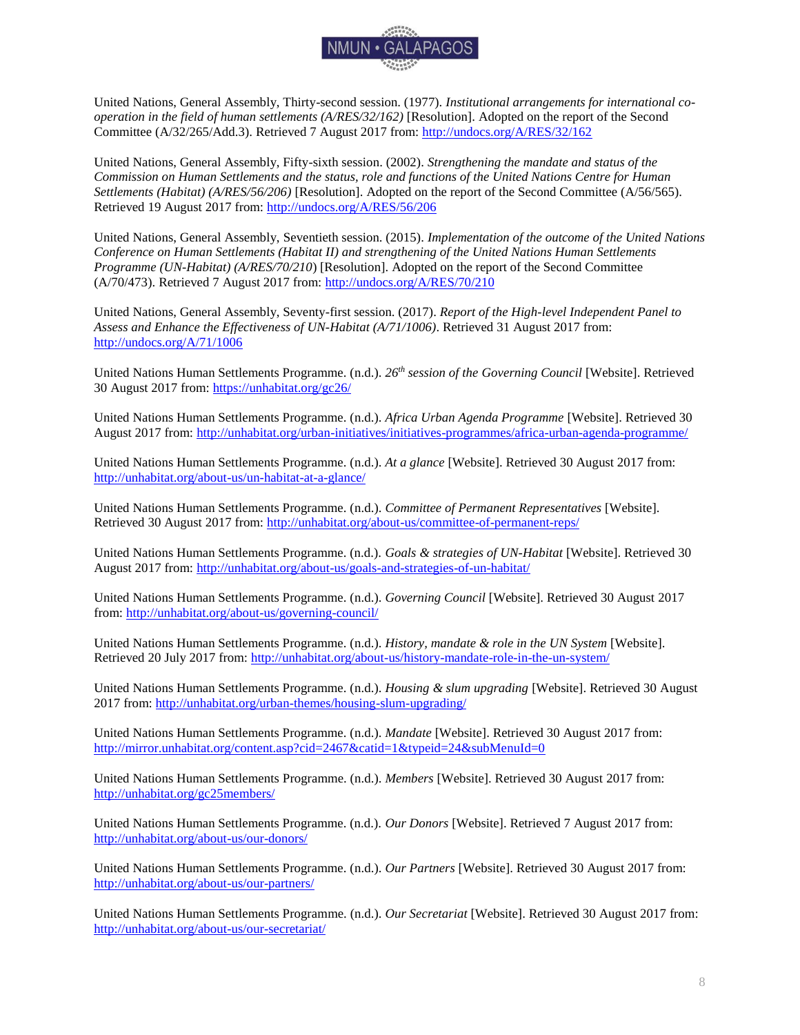

United Nations, General Assembly, Thirty-second session. (1977). *Institutional arrangements for international cooperation in the field of human settlements (A/RES/32/162)* [Resolution]. Adopted on the report of the Second Committee (A/32/265/Add.3). Retrieved 7 August 2017 from:<http://undocs.org/A/RES/32/162>

United Nations, General Assembly, Fifty-sixth session. (2002). *Strengthening the mandate and status of the Commission on Human Settlements and the status, role and functions of the United Nations Centre for Human Settlements (Habitat) (A/RES/56/206)* [Resolution]. Adopted on the report of the Second Committee (A/56/565). Retrieved 19 August 2017 from: <http://undocs.org/A/RES/56/206>

United Nations, General Assembly, Seventieth session. (2015). *Implementation of the outcome of the United Nations Conference on Human Settlements (Habitat II) and strengthening of the United Nations Human Settlements Programme (UN-Habitat) (A/RES/70/210*) [Resolution]. Adopted on the report of the Second Committee (A/70/473). Retrieved 7 August 2017 from: <http://undocs.org/A/RES/70/210>

United Nations, General Assembly, Seventy-first session. (2017). *Report of the High-level Independent Panel to Assess and Enhance the Effectiveness of UN-Habitat (A/71/1006)*. Retrieved 31 August 2017 from: <http://undocs.org/A/71/1006>

United Nations Human Settlements Programme. (n.d.). *26 th session of the Governing Council* [Website]. Retrieved 30 August 2017 from: <https://unhabitat.org/gc26/>

United Nations Human Settlements Programme. (n.d.). *Africa Urban Agenda Programme* [Website]. Retrieved 30 August 2017 from: <http://unhabitat.org/urban-initiatives/initiatives-programmes/africa-urban-agenda-programme/>

United Nations Human Settlements Programme. (n.d.). *At a glance* [Website]. Retrieved 30 August 2017 from: <http://unhabitat.org/about-us/un-habitat-at-a-glance/>

United Nations Human Settlements Programme. (n.d.). *Committee of Permanent Representatives* [Website]. Retrieved 30 August 2017 from: <http://unhabitat.org/about-us/committee-of-permanent-reps/>

United Nations Human Settlements Programme. (n.d.). *Goals & strategies of UN-Habitat* [Website]. Retrieved 30 August 2017 from: <http://unhabitat.org/about-us/goals-and-strategies-of-un-habitat/>

United Nations Human Settlements Programme. (n.d.). *Governing Council* [Website]. Retrieved 30 August 2017 from: <http://unhabitat.org/about-us/governing-council/>

United Nations Human Settlements Programme. (n.d.). *History, mandate & role in the UN System* [Website]. Retrieved 20 July 2017 from: <http://unhabitat.org/about-us/history-mandate-role-in-the-un-system/>

United Nations Human Settlements Programme. (n.d.). *Housing & slum upgrading* [Website]. Retrieved 30 August 2017 from: <http://unhabitat.org/urban-themes/housing-slum-upgrading/>

United Nations Human Settlements Programme. (n.d.). *Mandate* [Website]. Retrieved 30 August 2017 from: <http://mirror.unhabitat.org/content.asp?cid=2467&catid=1&typeid=24&subMenuId=0>

United Nations Human Settlements Programme. (n.d.). *Members* [Website]. Retrieved 30 August 2017 from: <http://unhabitat.org/gc25members/>

United Nations Human Settlements Programme. (n.d.). *Our Donors* [Website]. Retrieved 7 August 2017 from: <http://unhabitat.org/about-us/our-donors/>

United Nations Human Settlements Programme. (n.d.). *Our Partners* [Website]. Retrieved 30 August 2017 from: <http://unhabitat.org/about-us/our-partners/>

United Nations Human Settlements Programme. (n.d.). *Our Secretariat* [Website]. Retrieved 30 August 2017 from: <http://unhabitat.org/about-us/our-secretariat/>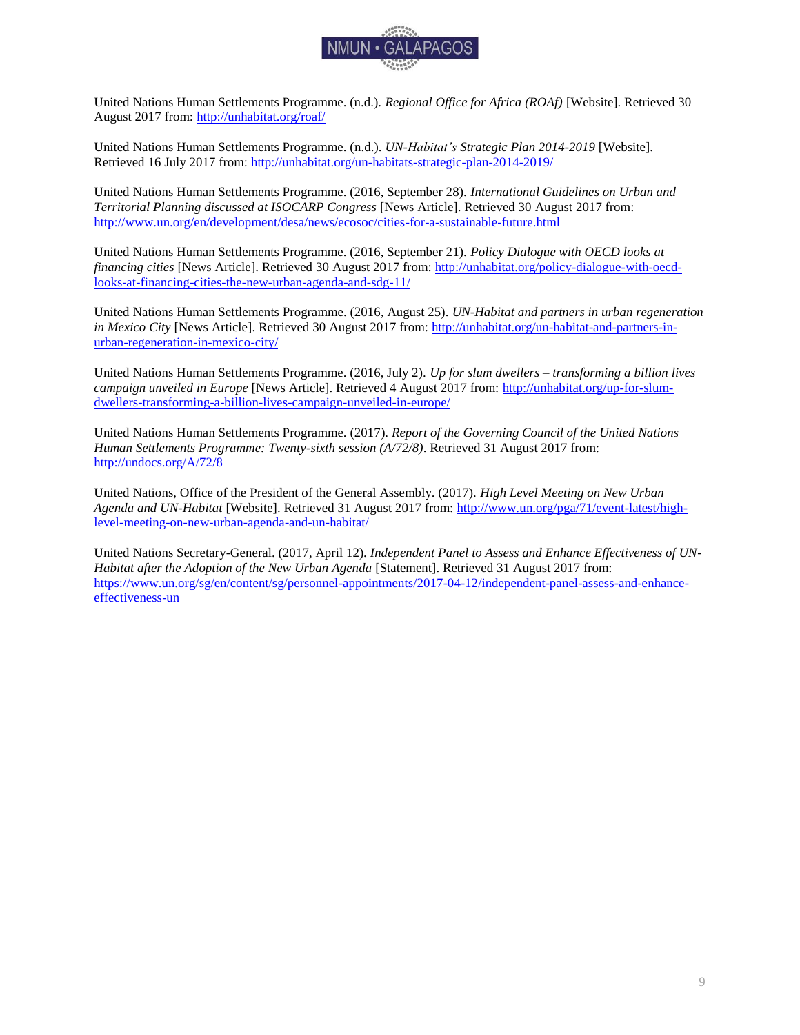

United Nations Human Settlements Programme. (n.d.). *Regional Office for Africa (ROAf)* [Website]. Retrieved 30 August 2017 from: <http://unhabitat.org/roaf/>

United Nations Human Settlements Programme. (n.d.). *UN-Habitat's Strategic Plan 2014-2019* [Website]. Retrieved 16 July 2017 from: <http://unhabitat.org/un-habitats-strategic-plan-2014-2019/>

United Nations Human Settlements Programme. (2016, September 28). *International Guidelines on Urban and Territorial Planning discussed at ISOCARP Congress* [News Article]. Retrieved 30 August 2017 from: <http://www.un.org/en/development/desa/news/ecosoc/cities-for-a-sustainable-future.html>

United Nations Human Settlements Programme. (2016, September 21). *Policy Dialogue with OECD looks at financing cities* [News Article]. Retrieved 30 August 2017 from: [http://unhabitat.org/policy-dialogue-with-oecd](http://unhabitat.org/policy-dialogue-with-oecd-looks-at-financing-cities-the-new-urban-agenda-and-sdg-11/)[looks-at-financing-cities-the-new-urban-agenda-and-sdg-11/](http://unhabitat.org/policy-dialogue-with-oecd-looks-at-financing-cities-the-new-urban-agenda-and-sdg-11/)

United Nations Human Settlements Programme. (2016, August 25). *UN-Habitat and partners in urban regeneration in Mexico City* [News Article]. Retrieved 30 August 2017 from: [http://unhabitat.org/un-habitat-and-partners-in](http://unhabitat.org/un-habitat-and-partners-in-urban-regeneration-in-mexico-city/)[urban-regeneration-in-mexico-city/](http://unhabitat.org/un-habitat-and-partners-in-urban-regeneration-in-mexico-city/)

United Nations Human Settlements Programme. (2016, July 2). *Up for slum dwellers – transforming a billion lives campaign unveiled in Europe* [News Article]. Retrieved 4 August 2017 from: [http://unhabitat.org/up-for-slum](http://unhabitat.org/up-for-slum-dwellers-transforming-a-billion-lives-campaign-unveiled-in-europe/)[dwellers-transforming-a-billion-lives-campaign-unveiled-in-europe/](http://unhabitat.org/up-for-slum-dwellers-transforming-a-billion-lives-campaign-unveiled-in-europe/)

United Nations Human Settlements Programme. (2017). *Report of the Governing Council of the United Nations Human Settlements Programme: Twenty-sixth session (A/72/8)*. Retrieved 31 August 2017 from: <http://undocs.org/A/72/8>

United Nations, Office of the President of the General Assembly. (2017). *High Level Meeting on New Urban Agenda and UN-Habitat* [Website]. Retrieved 31 August 2017 from[: http://www.un.org/pga/71/event-latest/high](http://www.un.org/pga/71/event-latest/high-level-meeting-on-new-urban-agenda-and-un-habitat/)[level-meeting-on-new-urban-agenda-and-un-habitat/](http://www.un.org/pga/71/event-latest/high-level-meeting-on-new-urban-agenda-and-un-habitat/)

United Nations Secretary-General. (2017, April 12). *Independent Panel to Assess and Enhance Effectiveness of UN-Habitat after the Adoption of the New Urban Agenda* [Statement]. Retrieved 31 August 2017 from: [https://www.un.org/sg/en/content/sg/personnel-appointments/2017-04-12/independent-panel-assess-and-enhance](https://www.un.org/sg/en/content/sg/personnel-appointments/2017-04-12/independent-panel-assess-and-enhance-effectiveness-un)[effectiveness-un](https://www.un.org/sg/en/content/sg/personnel-appointments/2017-04-12/independent-panel-assess-and-enhance-effectiveness-un)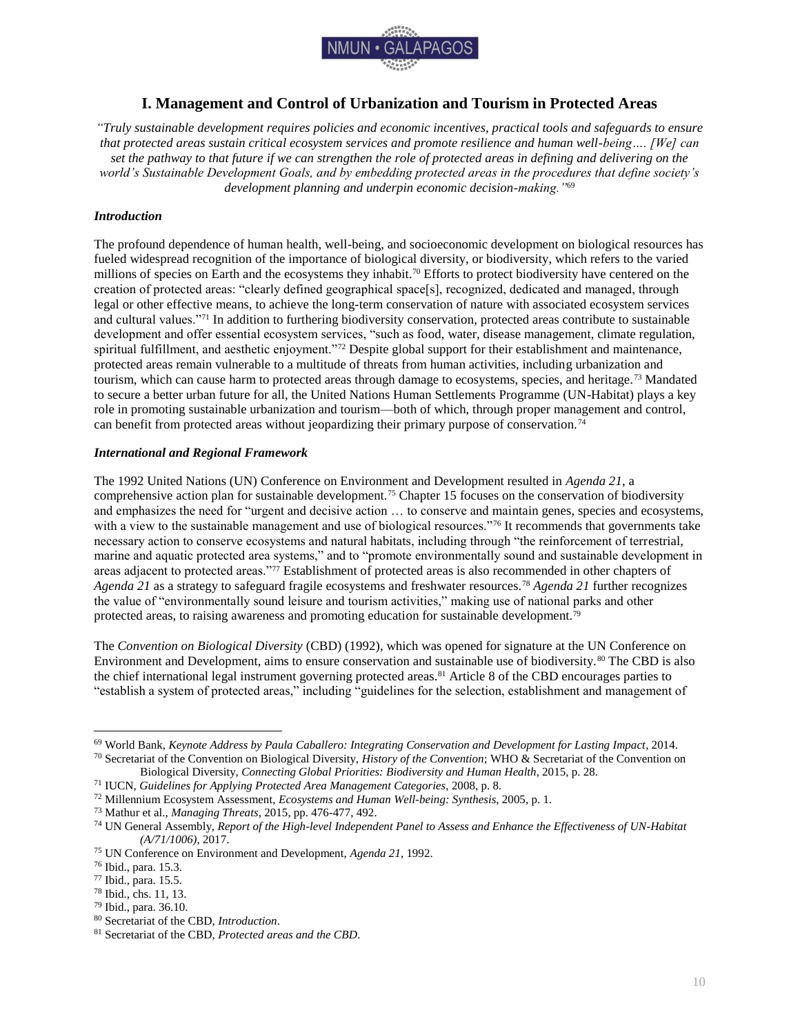

# **I. Management and Control of Urbanization and Tourism in Protected Areas**

<span id="page-10-0"></span>*"Truly sustainable development requires policies and economic incentives, practical tools and safeguards to ensure that protected areas sustain critical ecosystem services and promote resilience and human well-being…. [We] can set the pathway to that future if we can strengthen the role of protected areas in defining and delivering on the world's Sustainable Development Goals, and by embedding protected areas in the procedures that define society's development planning and underpin economic decision-making."*<sup>69</sup>

# <span id="page-10-1"></span>*Introduction*

The profound dependence of human health, well-being, and socioeconomic development on biological resources has fueled widespread recognition of the importance of biological diversity, or biodiversity, which refers to the varied millions of species on Earth and the ecosystems they inhabit.<sup>70</sup> Efforts to protect biodiversity have centered on the creation of protected areas: "clearly defined geographical space[s], recognized, dedicated and managed, through legal or other effective means, to achieve the long-term conservation of nature with associated ecosystem services and cultural values."<sup>71</sup> In addition to furthering biodiversity conservation, protected areas contribute to sustainable development and offer essential ecosystem services, "such as food, water, disease management, climate regulation, spiritual fulfillment, and aesthetic enjoyment."<sup>72</sup> Despite global support for their establishment and maintenance, protected areas remain vulnerable to a multitude of threats from human activities, including urbanization and tourism, which can cause harm to protected areas through damage to ecosystems, species, and heritage.<sup>73</sup> Mandated to secure a better urban future for all, the United Nations Human Settlements Programme (UN-Habitat) plays a key role in promoting sustainable urbanization and tourism—both of which, through proper management and control, can benefit from protected areas without jeopardizing their primary purpose of conservation.<sup>74</sup>

## <span id="page-10-2"></span>*International and Regional Framework*

The 1992 United Nations (UN) Conference on Environment and Development resulted in *Agenda 21*, a comprehensive action plan for sustainable development.<sup>75</sup> Chapter 15 focuses on the conservation of biodiversity and emphasizes the need for "urgent and decisive action … to conserve and maintain genes, species and ecosystems, with a view to the sustainable management and use of biological resources."<sup>76</sup> It recommends that governments take necessary action to conserve ecosystems and natural habitats, including through "the reinforcement of terrestrial, marine and aquatic protected area systems," and to "promote environmentally sound and sustainable development in areas adjacent to protected areas."<sup>77</sup> Establishment of protected areas is also recommended in other chapters of *Agenda 21* as a strategy to safeguard fragile ecosystems and freshwater resources.<sup>78</sup> *Agenda 21* further recognizes the value of "environmentally sound leisure and tourism activities," making use of national parks and other protected areas, to raising awareness and promoting education for sustainable development.<sup>79</sup>

The *Convention on Biological Diversity* (CBD) (1992), which was opened for signature at the UN Conference on Environment and Development, aims to ensure conservation and sustainable use of biodiversity.<sup>80</sup> The CBD is also the chief international legal instrument governing protected areas.<sup>81</sup> Article 8 of the CBD encourages parties to "establish a system of protected areas," including "guidelines for the selection, establishment and management of

<sup>69</sup> World Bank, *Keynote Address by Paula Caballero: Integrating Conservation and Development for Lasting Impact*, 2014.

<sup>70</sup> Secretariat of the Convention on Biological Diversity, *History of the Convention*; WHO & Secretariat of the Convention on Biological Diversity, *Connecting Global Priorities: Biodiversity and Human Health*, 2015, p. 28.

<sup>71</sup> IUCN, *Guidelines for Applying Protected Area Management Categories*, 2008, p. 8.

<sup>72</sup> Millennium Ecosystem Assessment, *Ecosystems and Human Well-being: Synthesis*, 2005, p. 1.

<sup>73</sup> Mathur et al., *Managing Threats*, 2015, pp. 476-477, 492.

<sup>74</sup> UN General Assembly, *Report of the High-level Independent Panel to Assess and Enhance the Effectiveness of UN-Habitat (A/71/1006)*, 2017.

<sup>75</sup> UN Conference on Environment and Development, *Agenda 21*, 1992.

<sup>76</sup> Ibid., para. 15.3.

<sup>77</sup> Ibid., para. 15.5.

<sup>78</sup> Ibid., chs. 11, 13.

<sup>79</sup> Ibid., para. 36.10.

<sup>80</sup> Secretariat of the CBD, *Introduction*.

<sup>81</sup> Secretariat of the CBD, *Protected areas and the CBD*.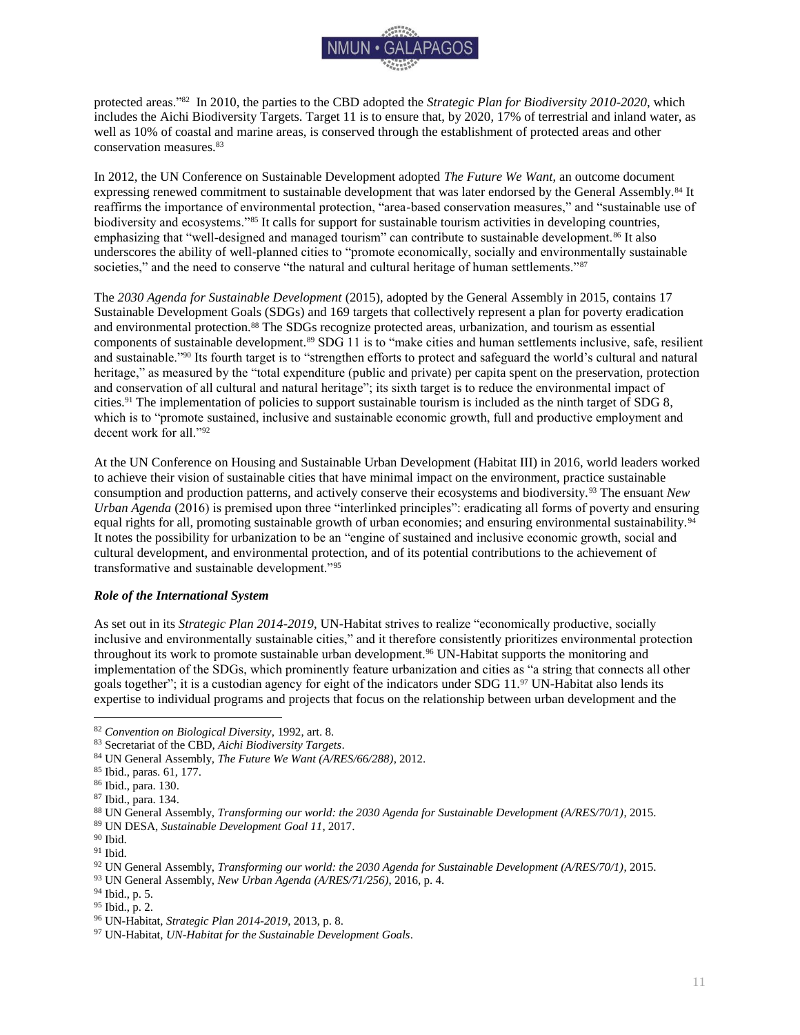

protected areas."<sup>82</sup> In 2010, the parties to the CBD adopted the *Strategic Plan for Biodiversity 2010-2020*, which includes the Aichi Biodiversity Targets. Target 11 is to ensure that, by 2020, 17% of terrestrial and inland water, as well as 10% of coastal and marine areas, is conserved through the establishment of protected areas and other conservation measures.<sup>83</sup>

In 2012, the UN Conference on Sustainable Development adopted *The Future We Want*, an outcome document expressing renewed commitment to sustainable development that was later endorsed by the General Assembly.<sup>84</sup> It reaffirms the importance of environmental protection, "area-based conservation measures," and "sustainable use of biodiversity and ecosystems."85 It calls for support for sustainable tourism activities in developing countries, emphasizing that "well-designed and managed tourism" can contribute to sustainable development.<sup>86</sup> It also underscores the ability of well-planned cities to "promote economically, socially and environmentally sustainable societies," and the need to conserve "the natural and cultural heritage of human settlements."<sup>87</sup>

The *2030 Agenda for Sustainable Development* (2015), adopted by the General Assembly in 2015, contains 17 Sustainable Development Goals (SDGs) and 169 targets that collectively represent a plan for poverty eradication and environmental protection.<sup>88</sup> The SDGs recognize protected areas, urbanization, and tourism as essential components of sustainable development.<sup>89</sup> SDG 11 is to "make cities and human settlements inclusive, safe, resilient and sustainable."<sup>90</sup> Its fourth target is to "strengthen efforts to protect and safeguard the world's cultural and natural heritage," as measured by the "total expenditure (public and private) per capita spent on the preservation, protection and conservation of all cultural and natural heritage"; its sixth target is to reduce the environmental impact of cities.<sup>91</sup> The implementation of policies to support sustainable tourism is included as the ninth target of SDG 8, which is to "promote sustained, inclusive and sustainable economic growth, full and productive employment and decent work for all."<sup>92</sup>

At the UN Conference on Housing and Sustainable Urban Development (Habitat III) in 2016, world leaders worked to achieve their vision of sustainable cities that have minimal impact on the environment, practice sustainable consumption and production patterns, and actively conserve their ecosystems and biodiversity.<sup>93</sup> The ensuant *New Urban Agenda* (2016) is premised upon three "interlinked principles": eradicating all forms of poverty and ensuring equal rights for all, promoting sustainable growth of urban economies; and ensuring environmental sustainability.<sup>94</sup> It notes the possibility for urbanization to be an "engine of sustained and inclusive economic growth, social and cultural development, and environmental protection, and of its potential contributions to the achievement of transformative and sustainable development."<sup>95</sup>

## <span id="page-11-0"></span>*Role of the International System*

As set out in its *Strategic Plan 2014-2019*, UN-Habitat strives to realize "economically productive, socially inclusive and environmentally sustainable cities," and it therefore consistently prioritizes environmental protection throughout its work to promote sustainable urban development.<sup>96</sup> UN-Habitat supports the monitoring and implementation of the SDGs, which prominently feature urbanization and cities as "a string that connects all other goals together"; it is a custodian agency for eight of the indicators under SDG 11.<sup>97</sup> UN-Habitat also lends its expertise to individual programs and projects that focus on the relationship between urban development and the

<sup>82</sup> *Convention on Biological Diversity*, 1992, art. 8.

<sup>83</sup> Secretariat of the CBD, *Aichi Biodiversity Targets*.

<sup>84</sup> UN General Assembly, *The Future We Want (A/RES/66/288)*, 2012.

<sup>85</sup> Ibid., paras. 61, 177.

<sup>86</sup> Ibid., para. 130.

<sup>87</sup> Ibid., para. 134.

<sup>88</sup> UN General Assembly, *Transforming our world: the 2030 Agenda for Sustainable Development (A/RES/70/1)*, 2015.

<sup>89</sup> UN DESA, *Sustainable Development Goal 11*, 2017.

 $\rm^{90}$  Ibid.

 $91$  Ibid.

<sup>92</sup> UN General Assembly, *Transforming our world: the 2030 Agenda for Sustainable Development (A/RES/70/1)*, 2015.

<sup>93</sup> UN General Assembly, *New Urban Agenda (A/RES/71/256)*, 2016, p. 4.

<sup>94</sup> Ibid., p. 5.

<sup>95</sup> Ibid., p. 2.

<sup>96</sup> UN-Habitat, *Strategic Plan 2014-2019*, 2013, p. 8.

<sup>97</sup> UN-Habitat, *UN-Habitat for the Sustainable Development Goals*.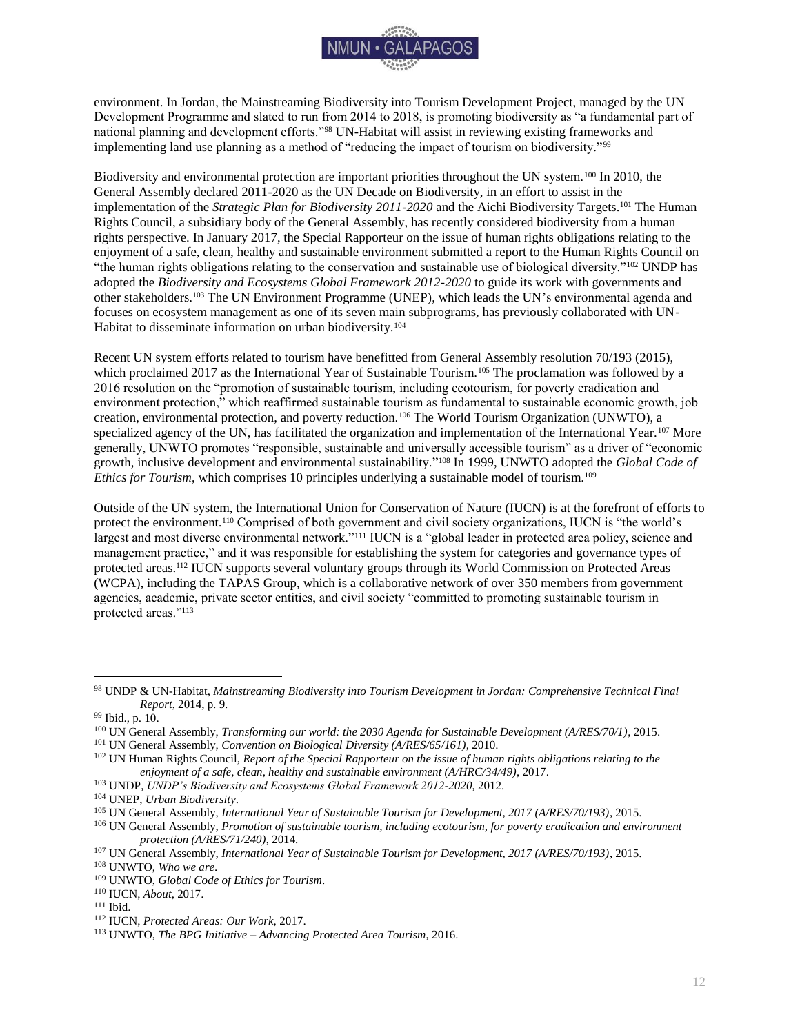

environment. In Jordan, the Mainstreaming Biodiversity into Tourism Development Project, managed by the UN Development Programme and slated to run from 2014 to 2018, is promoting biodiversity as "a fundamental part of national planning and development efforts."<sup>98</sup> UN-Habitat will assist in reviewing existing frameworks and implementing land use planning as a method of "reducing the impact of tourism on biodiversity."<sup>99</sup>

Biodiversity and environmental protection are important priorities throughout the UN system.<sup>100</sup> In 2010, the General Assembly declared 2011-2020 as the UN Decade on Biodiversity, in an effort to assist in the implementation of the *Strategic Plan for Biodiversity 2011-2020* and the Aichi Biodiversity Targets.<sup>101</sup> The Human Rights Council, a subsidiary body of the General Assembly, has recently considered biodiversity from a human rights perspective. In January 2017, the Special Rapporteur on the issue of human rights obligations relating to the enjoyment of a safe, clean, healthy and sustainable environment submitted a report to the Human Rights Council on "the human rights obligations relating to the conservation and sustainable use of biological diversity." $102$  UNDP has adopted the *Biodiversity and Ecosystems Global Framework 2012-2020* to guide its work with governments and other stakeholders.<sup>103</sup> The UN Environment Programme (UNEP), which leads the UN's environmental agenda and focuses on ecosystem management as one of its seven main subprograms, has previously collaborated with UN-Habitat to disseminate information on urban biodiversity.<sup>104</sup>

Recent UN system efforts related to tourism have benefitted from General Assembly resolution 70/193 (2015), which proclaimed 2017 as the International Year of Sustainable Tourism.<sup>105</sup> The proclamation was followed by a 2016 resolution on the "promotion of sustainable tourism, including ecotourism, for poverty eradication and environment protection," which reaffirmed sustainable tourism as fundamental to sustainable economic growth, job creation, environmental protection, and poverty reduction.<sup>106</sup> The World Tourism Organization (UNWTO), a specialized agency of the UN, has facilitated the organization and implementation of the International Year.<sup>107</sup> More generally, UNWTO promotes "responsible, sustainable and universally accessible tourism" as a driver of "economic growth, inclusive development and environmental sustainability." <sup>108</sup> In 1999, UNWTO adopted the *Global Code of Ethics for Tourism*, which comprises 10 principles underlying a sustainable model of tourism.<sup>109</sup>

Outside of the UN system, the International Union for Conservation of Nature (IUCN) is at the forefront of efforts to protect the environment.<sup>110</sup> Comprised of both government and civil society organizations, IUCN is "the world's largest and most diverse environmental network."<sup>111</sup> IUCN is a "global leader in protected area policy, science and management practice," and it was responsible for establishing the system for categories and governance types of protected areas.<sup>112</sup> IUCN supports several voluntary groups through its World Commission on Protected Areas (WCPA), including the TAPAS Group, which is a collaborative network of over 350 members from government agencies, academic, private sector entities, and civil society "committed to promoting sustainable tourism in protected areas."<sup>113</sup>

 $\overline{a}$ 

<sup>103</sup> UNDP, *UNDP's Biodiversity and Ecosystems Global Framework 2012-2020*, 2012.

<sup>98</sup> UNDP & UN-Habitat, *Mainstreaming Biodiversity into Tourism Development in Jordan: Comprehensive Technical Final Report*, 2014, p. 9.

<sup>99</sup> Ibid., p. 10.

<sup>100</sup> UN General Assembly, *Transforming our world: the 2030 Agenda for Sustainable Development (A/RES/70/1)*, 2015.

<sup>101</sup> UN General Assembly, *Convention on Biological Diversity (A/RES/65/161)*, 2010.

<sup>102</sup> UN Human Rights Council, *Report of the Special Rapporteur on the issue of human rights obligations relating to the enjoyment of a safe, clean, healthy and sustainable environment (A/HRC/34/49)*, 2017.

<sup>104</sup> UNEP, *Urban Biodiversity*.

<sup>105</sup> UN General Assembly, *International Year of Sustainable Tourism for Development, 2017 (A/RES/70/193)*, 2015.

<sup>106</sup> UN General Assembly, *Promotion of sustainable tourism, including ecotourism, for poverty eradication and environment protection (A/RES/71/240)*, 2014.

<sup>107</sup> UN General Assembly, *International Year of Sustainable Tourism for Development, 2017 (A/RES/70/193)*, 2015.

<sup>108</sup> UNWTO, *Who we are*.

<sup>109</sup> UNWTO, *Global Code of Ethics for Tourism*.

<sup>110</sup> IUCN, *About*, 2017.

<sup>111</sup> Ibid.

<sup>112</sup> IUCN, *Protected Areas: Our Work*, 2017.

<sup>113</sup> UNWTO, *The BPG Initiative – Advancing Protected Area Tourism*, 2016.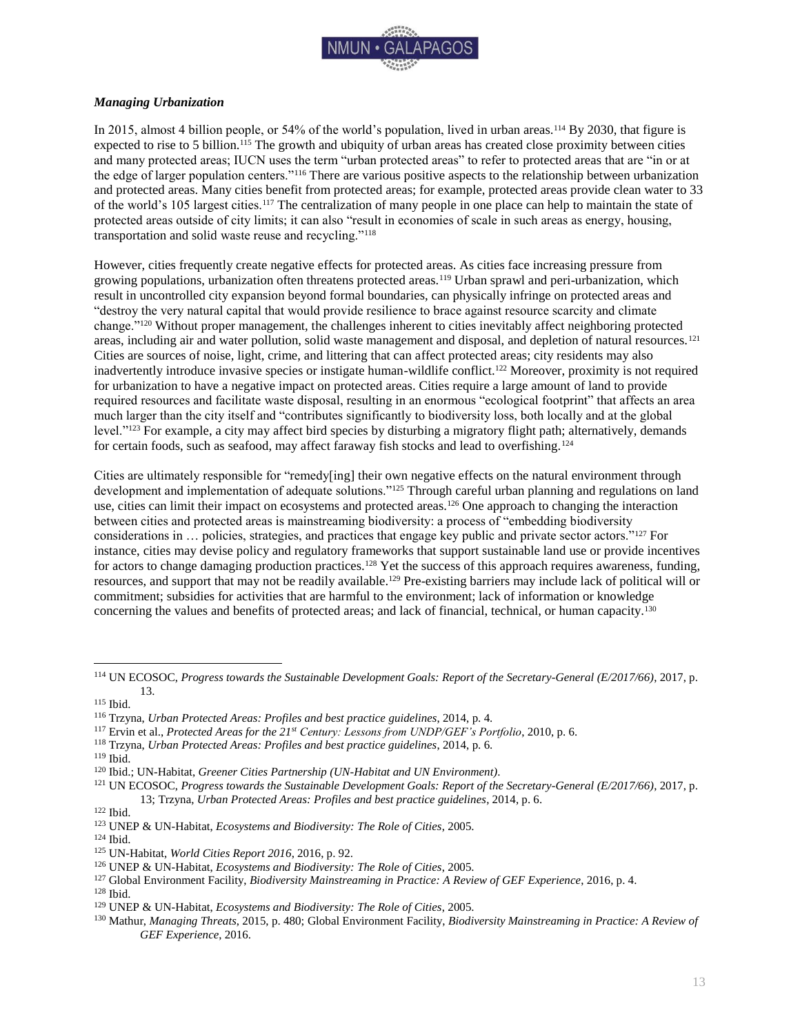

# <span id="page-13-0"></span>*Managing Urbanization*

In 2015, almost 4 billion people, or 54% of the world's population, lived in urban areas.<sup>114</sup> By 2030, that figure is expected to rise to 5 billion.<sup>115</sup> The growth and ubiquity of urban areas has created close proximity between cities and many protected areas; IUCN uses the term "urban protected areas" to refer to protected areas that are "in or at the edge of larger population centers."<sup>116</sup> There are various positive aspects to the relationship between urbanization and protected areas. Many cities benefit from protected areas; for example, protected areas provide clean water to 33 of the world's 105 largest cities.<sup>117</sup> The centralization of many people in one place can help to maintain the state of protected areas outside of city limits; it can also "result in economies of scale in such areas as energy, housing, transportation and solid waste reuse and recycling."<sup>118</sup>

However, cities frequently create negative effects for protected areas. As cities face increasing pressure from growing populations, urbanization often threatens protected areas.<sup>119</sup> Urban sprawl and peri-urbanization, which result in uncontrolled city expansion beyond formal boundaries, can physically infringe on protected areas and "destroy the very natural capital that would provide resilience to brace against resource scarcity and climate change."<sup>120</sup> Without proper management, the challenges inherent to cities inevitably affect neighboring protected areas, including air and water pollution, solid waste management and disposal, and depletion of natural resources.<sup>121</sup> Cities are sources of noise, light, crime, and littering that can affect protected areas; city residents may also inadvertently introduce invasive species or instigate human-wildlife conflict.<sup>122</sup> Moreover, proximity is not required for urbanization to have a negative impact on protected areas. Cities require a large amount of land to provide required resources and facilitate waste disposal, resulting in an enormous "ecological footprint" that affects an area much larger than the city itself and "contributes significantly to biodiversity loss, both locally and at the global level."<sup>123</sup> For example, a city may affect bird species by disturbing a migratory flight path; alternatively, demands for certain foods, such as seafood, may affect faraway fish stocks and lead to overfishing.<sup>124</sup>

Cities are ultimately responsible for "remedy[ing] their own negative effects on the natural environment through development and implementation of adequate solutions."<sup>125</sup> Through careful urban planning and regulations on land use, cities can limit their impact on ecosystems and protected areas.<sup>126</sup> One approach to changing the interaction between cities and protected areas is mainstreaming biodiversity: a process of "embedding biodiversity considerations in … policies, strategies, and practices that engage key public and private sector actors."<sup>127</sup> For instance, cities may devise policy and regulatory frameworks that support sustainable land use or provide incentives for actors to change damaging production practices.<sup>128</sup> Yet the success of this approach requires awareness, funding, resources, and support that may not be readily available.<sup>129</sup> Pre-existing barriers may include lack of political will or commitment; subsidies for activities that are harmful to the environment; lack of information or knowledge concerning the values and benefits of protected areas; and lack of financial, technical, or human capacity.<sup>130</sup>

<sup>114</sup> UN ECOSOC, *Progress towards the Sustainable Development Goals: Report of the Secretary-General (E/2017/66)*, 2017, p. 13.

<sup>115</sup> Ibid.

<sup>116</sup> Trzyna, *Urban Protected Areas: Profiles and best practice guidelines*, 2014, p. 4.

<sup>117</sup> Ervin et al., *Protected Areas for the 21st Century: Lessons from UNDP/GEF's Portfolio*, 2010, p. 6.

<sup>118</sup> Trzyna, *Urban Protected Areas: Profiles and best practice guidelines*, 2014, p. 6.

<sup>119</sup> Ibid.

<sup>120</sup> Ibid.; UN-Habitat, *Greener Cities Partnership (UN-Habitat and UN Environment)*.

<sup>121</sup> UN ECOSOC, *Progress towards the Sustainable Development Goals: Report of the Secretary-General (E/2017/66)*, 2017, p. 13; Trzyna, *Urban Protected Areas: Profiles and best practice guidelines*, 2014, p. 6.

<sup>122</sup> Ibid.

<sup>123</sup> UNEP & UN-Habitat, *Ecosystems and Biodiversity: The Role of Cities*, 2005.

<sup>124</sup> Ibid.

<sup>125</sup> UN-Habitat, *World Cities Report 2016*, 2016, p. 92.

<sup>126</sup> UNEP & UN-Habitat, *Ecosystems and Biodiversity: The Role of Cities*, 2005.

<sup>127</sup> Global Environment Facility, *Biodiversity Mainstreaming in Practice: A Review of GEF Experience*, 2016, p. 4.

<sup>128</sup> Ibid.

<sup>129</sup> UNEP & UN-Habitat, *Ecosystems and Biodiversity: The Role of Cities*, 2005.

<sup>130</sup> Mathur, *Managing Threats*, 2015, p. 480; Global Environment Facility, *Biodiversity Mainstreaming in Practice: A Review of GEF Experience*, 2016.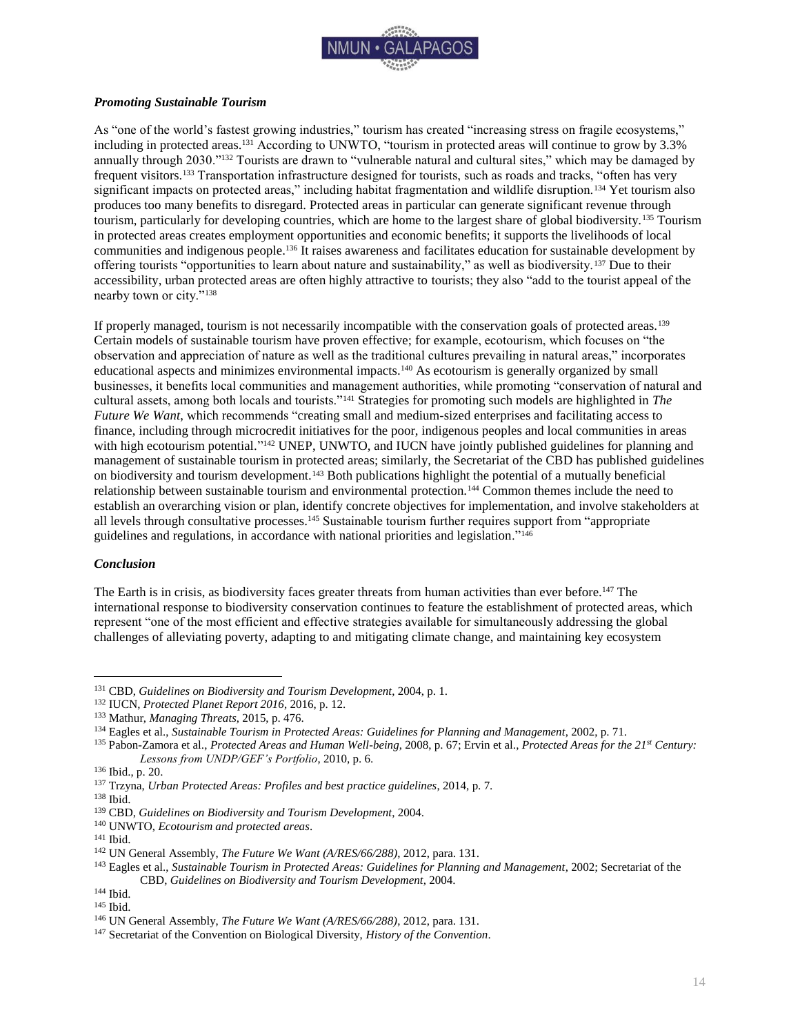

## <span id="page-14-0"></span>*Promoting Sustainable Tourism*

As "one of the world's fastest growing industries," tourism has created "increasing stress on fragile ecosystems," including in protected areas.<sup>131</sup> According to UNWTO, "tourism in protected areas will continue to grow by 3.3% annually through 2030."<sup>132</sup> Tourists are drawn to "vulnerable natural and cultural sites," which may be damaged by frequent visitors.<sup>133</sup> Transportation infrastructure designed for tourists, such as roads and tracks, "often has very significant impacts on protected areas," including habitat fragmentation and wildlife disruption.<sup>134</sup> Yet tourism also produces too many benefits to disregard. Protected areas in particular can generate significant revenue through tourism, particularly for developing countries, which are home to the largest share of global biodiversity.<sup>135</sup> Tourism in protected areas creates employment opportunities and economic benefits; it supports the livelihoods of local communities and indigenous people.<sup>136</sup> It raises awareness and facilitates education for sustainable development by offering tourists "opportunities to learn about nature and sustainability," as well as biodiversity.<sup>137</sup> Due to their accessibility, urban protected areas are often highly attractive to tourists; they also "add to the tourist appeal of the nearby town or city."<sup>138</sup>

If properly managed, tourism is not necessarily incompatible with the conservation goals of protected areas.<sup>139</sup> Certain models of sustainable tourism have proven effective; for example, ecotourism, which focuses on "the observation and appreciation of nature as well as the traditional cultures prevailing in natural areas," incorporates educational aspects and minimizes environmental impacts.<sup>140</sup> As ecotourism is generally organized by small businesses, it benefits local communities and management authorities, while promoting "conservation of natural and cultural assets, among both locals and tourists."<sup>141</sup> Strategies for promoting such models are highlighted in *The Future We Want*, which recommends "creating small and medium-sized enterprises and facilitating access to finance, including through microcredit initiatives for the poor, indigenous peoples and local communities in areas with high ecotourism potential."<sup>142</sup> UNEP, UNWTO, and IUCN have jointly published guidelines for planning and management of sustainable tourism in protected areas; similarly, the Secretariat of the CBD has published guidelines on biodiversity and tourism development.<sup>143</sup> Both publications highlight the potential of a mutually beneficial relationship between sustainable tourism and environmental protection.<sup>144</sup> Common themes include the need to establish an overarching vision or plan, identify concrete objectives for implementation, and involve stakeholders at all levels through consultative processes.<sup>145</sup> Sustainable tourism further requires support from "appropriate guidelines and regulations, in accordance with national priorities and legislation."<sup>146</sup>

#### <span id="page-14-1"></span>*Conclusion*

The Earth is in crisis, as biodiversity faces greater threats from human activities than ever before.<sup>147</sup> The international response to biodiversity conservation continues to feature the establishment of protected areas, which represent "one of the most efficient and effective strategies available for simultaneously addressing the global challenges of alleviating poverty, adapting to and mitigating climate change, and maintaining key ecosystem

<sup>131</sup> CBD, *Guidelines on Biodiversity and Tourism Development*, 2004, p. 1.

<sup>132</sup> IUCN, *Protected Planet Report 2016*, 2016, p. 12.

<sup>133</sup> Mathur, *Managing Threats*, 2015, p. 476.

<sup>134</sup> Eagles et al., *Sustainable Tourism in Protected Areas: Guidelines for Planning and Management*, 2002, p. 71.

<sup>135</sup> Pabon-Zamora et al., *Protected Areas and Human Well-being*, 2008, p. 67; Ervin et al., *Protected Areas for the 21st Century: Lessons from UNDP/GEF's Portfolio*, 2010, p. 6.

<sup>136</sup> Ibid., p. 20.

<sup>137</sup> Trzyna, *Urban Protected Areas: Profiles and best practice guidelines*, 2014, p. 7.

<sup>138</sup> Ibid.

<sup>139</sup> CBD, *Guidelines on Biodiversity and Tourism Development*, 2004.

<sup>140</sup> UNWTO, *Ecotourism and protected areas*.

<sup>141</sup> Ibid.

<sup>142</sup> UN General Assembly, *The Future We Want (A/RES/66/288)*, 2012, para. 131.

<sup>&</sup>lt;sup>143</sup> Eagles et al., *Sustainable Tourism in Protected Areas: Guidelines for Planning and Management*, 2002; Secretariat of the CBD, *Guidelines on Biodiversity and Tourism Development*, 2004.

<sup>144</sup> Ibid.

<sup>145</sup> Ibid.

<sup>146</sup> UN General Assembly, *The Future We Want (A/RES/66/288)*, 2012, para. 131.

<sup>147</sup> Secretariat of the Convention on Biological Diversity, *History of the Convention*.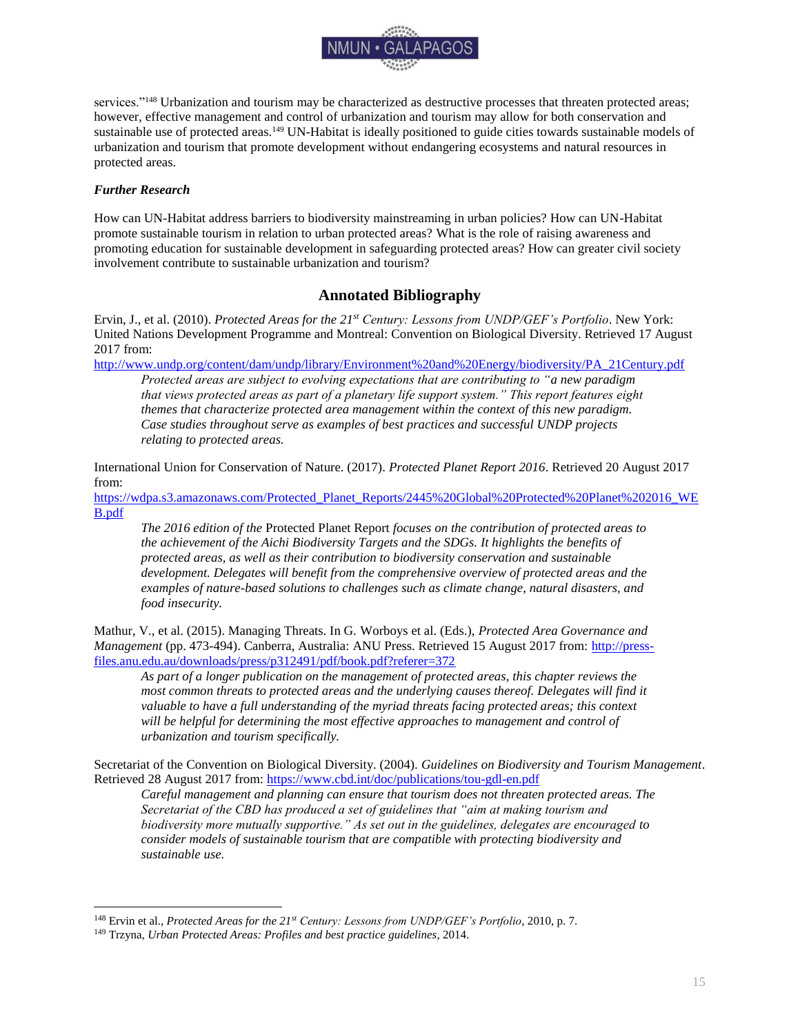

services."<sup>148</sup> Urbanization and tourism may be characterized as destructive processes that threaten protected areas; however, effective management and control of urbanization and tourism may allow for both conservation and sustainable use of protected areas.<sup>149</sup> UN-Habitat is ideally positioned to guide cities towards sustainable models of urbanization and tourism that promote development without endangering ecosystems and natural resources in protected areas.

# <span id="page-15-0"></span>*Further Research*

 $\overline{a}$ 

How can UN-Habitat address barriers to biodiversity mainstreaming in urban policies? How can UN-Habitat promote sustainable tourism in relation to urban protected areas? What is the role of raising awareness and promoting education for sustainable development in safeguarding protected areas? How can greater civil society involvement contribute to sustainable urbanization and tourism?

# **Annotated Bibliography**

<span id="page-15-1"></span>Ervin, J., et al. (2010). *Protected Areas for the 21st Century: Lessons from UNDP/GEF's Portfolio*. New York: United Nations Development Programme and Montreal: Convention on Biological Diversity. Retrieved 17 August 2017 from:

[http://www.undp.org/content/dam/undp/library/Environment%20and%20Energy/biodiversity/PA\\_21Century.pdf](http://www.undp.org/content/dam/undp/library/Environment%20and%20Energy/biodiversity/PA_21Century.pdf) *Protected areas are subject to evolving expectations that are contributing to "a new paradigm that views protected areas as part of a planetary life support system." This report features eight themes that characterize protected area management within the context of this new paradigm. Case studies throughout serve as examples of best practices and successful UNDP projects relating to protected areas.* 

International Union for Conservation of Nature. (2017). *Protected Planet Report 2016*. Retrieved 20 August 2017 from:

[https://wdpa.s3.amazonaws.com/Protected\\_Planet\\_Reports/2445%20Global%20Protected%20Planet%202016\\_WE](https://wdpa.s3.amazonaws.com/Protected_Planet_Reports/2445%20Global%20Protected%20Planet%202016_WEB.pdf) [B.pdf](https://wdpa.s3.amazonaws.com/Protected_Planet_Reports/2445%20Global%20Protected%20Planet%202016_WEB.pdf)

*The 2016 edition of the* Protected Planet Report *focuses on the contribution of protected areas to the achievement of the Aichi Biodiversity Targets and the SDGs. It highlights the benefits of protected areas, as well as their contribution to biodiversity conservation and sustainable development. Delegates will benefit from the comprehensive overview of protected areas and the examples of nature-based solutions to challenges such as climate change, natural disasters, and food insecurity.*

Mathur, V., et al. (2015). Managing Threats. In G. Worboys et al. (Eds.), *Protected Area Governance and Management* (pp. 473-494). Canberra, Australia: ANU Press. Retrieved 15 August 2017 from: [http://press](http://press-files.anu.edu.au/downloads/press/p312491/pdf/book.pdf?referer=372)[files.anu.edu.au/downloads/press/p312491/pdf/book.pdf?referer=372](http://press-files.anu.edu.au/downloads/press/p312491/pdf/book.pdf?referer=372)

*As part of a longer publication on the management of protected areas, this chapter reviews the*  most common threats to protected areas and the underlying causes thereof. Delegates will find it *valuable to have a full understanding of the myriad threats facing protected areas; this context will be helpful for determining the most effective approaches to management and control of urbanization and tourism specifically.*

Secretariat of the Convention on Biological Diversity. (2004). *Guidelines on Biodiversity and Tourism Management*. Retrieved 28 August 2017 from:<https://www.cbd.int/doc/publications/tou-gdl-en.pdf>

*Careful management and planning can ensure that tourism does not threaten protected areas. The Secretariat of the CBD has produced a set of guidelines that "aim at making tourism and biodiversity more mutually supportive." As set out in the guidelines, delegates are encouraged to consider models of sustainable tourism that are compatible with protecting biodiversity and sustainable use.*

<sup>148</sup> Ervin et al., *Protected Areas for the 21st Century: Lessons from UNDP/GEF's Portfolio*, 2010, p. 7.

<sup>149</sup> Trzyna, *Urban Protected Areas: Profiles and best practice guidelines*, 2014.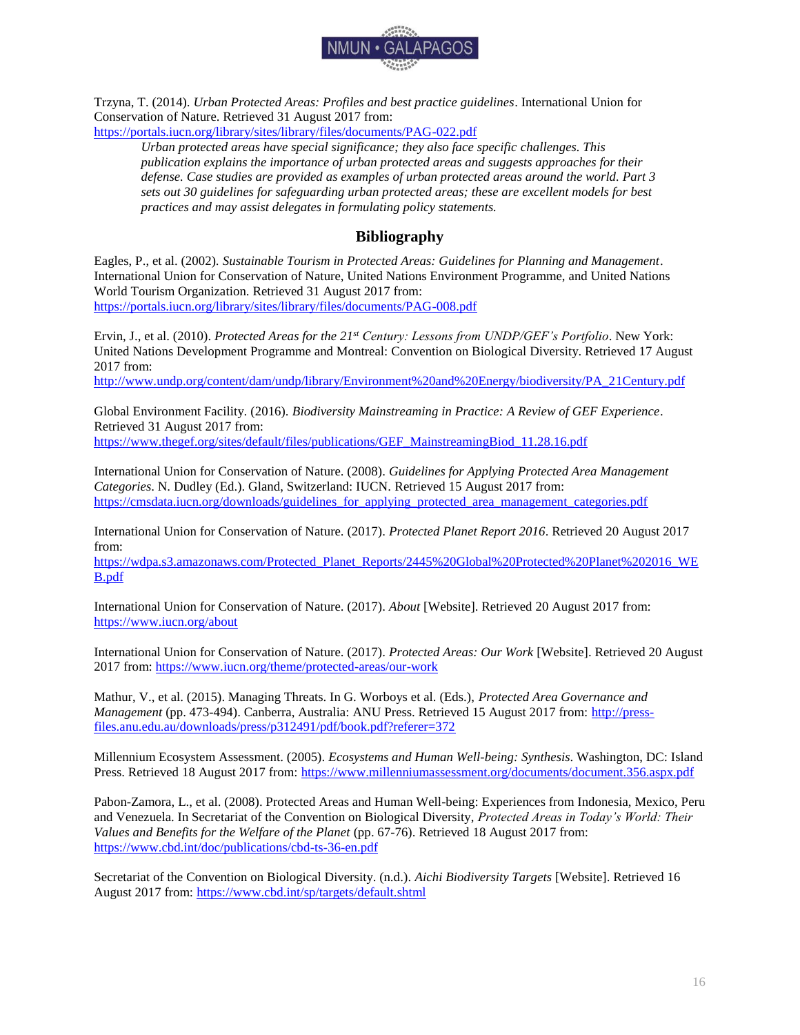

Trzyna, T. (2014). *Urban Protected Areas: Profiles and best practice guidelines*. International Union for Conservation of Nature. Retrieved 31 August 2017 from:

<https://portals.iucn.org/library/sites/library/files/documents/PAG-022.pdf>

*Urban protected areas have special significance; they also face specific challenges. This publication explains the importance of urban protected areas and suggests approaches for their defense. Case studies are provided as examples of urban protected areas around the world. Part 3 sets out 30 guidelines for safeguarding urban protected areas; these are excellent models for best practices and may assist delegates in formulating policy statements.*

# **Bibliography**

<span id="page-16-0"></span>Eagles, P., et al. (2002). *Sustainable Tourism in Protected Areas: Guidelines for Planning and Management*. International Union for Conservation of Nature, United Nations Environment Programme, and United Nations World Tourism Organization. Retrieved 31 August 2017 from: <https://portals.iucn.org/library/sites/library/files/documents/PAG-008.pdf>

Ervin, J., et al. (2010). *Protected Areas for the 21st Century: Lessons from UNDP/GEF's Portfolio*. New York: United Nations Development Programme and Montreal: Convention on Biological Diversity. Retrieved 17 August 2017 from:

[http://www.undp.org/content/dam/undp/library/Environment%20and%20Energy/biodiversity/PA\\_21Century.pdf](http://www.undp.org/content/dam/undp/library/Environment%20and%20Energy/biodiversity/PA_21Century.pdf)

Global Environment Facility. (2016). *Biodiversity Mainstreaming in Practice: A Review of GEF Experience*. Retrieved 31 August 2017 from: [https://www.thegef.org/sites/default/files/publications/GEF\\_MainstreamingBiod\\_11.28.16.pdf](https://www.thegef.org/sites/default/files/publications/GEF_MainstreamingBiod_11.28.16.pdf)

International Union for Conservation of Nature. (2008). *Guidelines for Applying Protected Area Management Categories*. N. Dudley (Ed.). Gland, Switzerland: IUCN. Retrieved 15 August 2017 from: https://cmsdata.jucn.org/downloads/guidelines\_for\_applying\_protected\_area\_management\_categories.pdf

International Union for Conservation of Nature. (2017). *Protected Planet Report 2016*. Retrieved 20 August 2017 from:

[https://wdpa.s3.amazonaws.com/Protected\\_Planet\\_Reports/2445%20Global%20Protected%20Planet%202016\\_WE](https://wdpa.s3.amazonaws.com/Protected_Planet_Reports/2445%20Global%20Protected%20Planet%202016_WEB.pdf) [B.pdf](https://wdpa.s3.amazonaws.com/Protected_Planet_Reports/2445%20Global%20Protected%20Planet%202016_WEB.pdf)

International Union for Conservation of Nature. (2017). *About* [Website]. Retrieved 20 August 2017 from: <https://www.iucn.org/about>

International Union for Conservation of Nature. (2017). *Protected Areas: Our Work* [Website]. Retrieved 20 August 2017 from:<https://www.iucn.org/theme/protected-areas/our-work>

Mathur, V., et al. (2015). Managing Threats. In G. Worboys et al. (Eds.), *Protected Area Governance and Management* (pp. 473-494). Canberra, Australia: ANU Press. Retrieved 15 August 2017 from: [http://press](http://press-files.anu.edu.au/downloads/press/p312491/pdf/book.pdf?referer=372)[files.anu.edu.au/downloads/press/p312491/pdf/book.pdf?referer=372](http://press-files.anu.edu.au/downloads/press/p312491/pdf/book.pdf?referer=372)

Millennium Ecosystem Assessment. (2005). *Ecosystems and Human Well-being: Synthesis*. Washington, DC: Island Press. Retrieved 18 August 2017 from:<https://www.millenniumassessment.org/documents/document.356.aspx.pdf>

Pabon-Zamora, L., et al. (2008). Protected Areas and Human Well-being: Experiences from Indonesia, Mexico, Peru and Venezuela. In Secretariat of the Convention on Biological Diversity, *Protected Areas in Today's World: Their Values and Benefits for the Welfare of the Planet* (pp. 67-76). Retrieved 18 August 2017 from: <https://www.cbd.int/doc/publications/cbd-ts-36-en.pdf>

Secretariat of the Convention on Biological Diversity. (n.d.). *Aichi Biodiversity Targets* [Website]. Retrieved 16 August 2017 from:<https://www.cbd.int/sp/targets/default.shtml>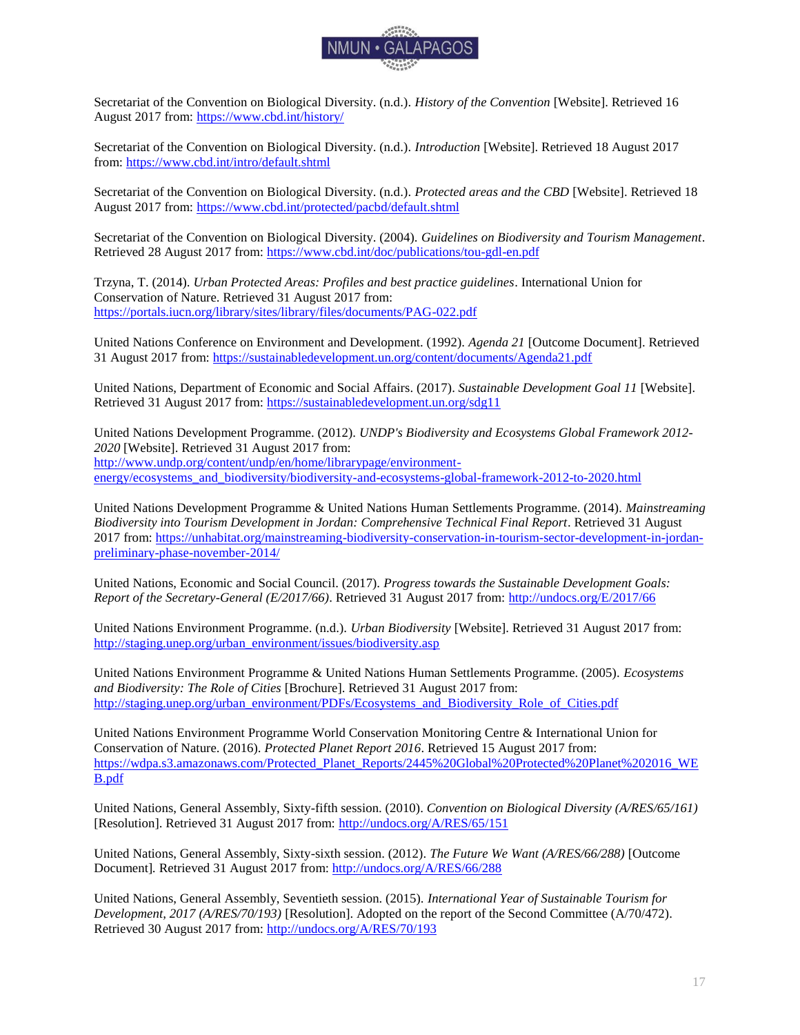

Secretariat of the Convention on Biological Diversity. (n.d.). *History of the Convention* [Website]. Retrieved 16 August 2017 from:<https://www.cbd.int/history/>

Secretariat of the Convention on Biological Diversity. (n.d.). *Introduction* [Website]. Retrieved 18 August 2017 from[: https://www.cbd.int/intro/default.shtml](https://www.cbd.int/intro/default.shtml)

Secretariat of the Convention on Biological Diversity. (n.d.). *Protected areas and the CBD* [Website]. Retrieved 18 August 2017 from:<https://www.cbd.int/protected/pacbd/default.shtml>

Secretariat of the Convention on Biological Diversity. (2004). *Guidelines on Biodiversity and Tourism Management*. Retrieved 28 August 2017 from:<https://www.cbd.int/doc/publications/tou-gdl-en.pdf>

Trzyna, T. (2014). *Urban Protected Areas: Profiles and best practice guidelines*. International Union for Conservation of Nature. Retrieved 31 August 2017 from: <https://portals.iucn.org/library/sites/library/files/documents/PAG-022.pdf>

United Nations Conference on Environment and Development. (1992). *Agenda 21* [Outcome Document]. Retrieved 31 August 2017 from:<https://sustainabledevelopment.un.org/content/documents/Agenda21.pdf>

United Nations, Department of Economic and Social Affairs. (2017). *Sustainable Development Goal 11* [Website]. Retrieved 31 August 2017 from:<https://sustainabledevelopment.un.org/sdg11>

United Nations Development Programme. (2012). *UNDP's Biodiversity and Ecosystems Global Framework 2012- 2020* [Website]. Retrieved 31 August 2017 from: [http://www.undp.org/content/undp/en/home/librarypage/environment](http://www.undp.org/content/undp/en/home/librarypage/environment-energy/ecosystems_and_biodiversity/biodiversity-and-ecosystems-global-framework-2012-to-2020.html)[energy/ecosystems\\_and\\_biodiversity/biodiversity-and-ecosystems-global-framework-2012-to-2020.html](http://www.undp.org/content/undp/en/home/librarypage/environment-energy/ecosystems_and_biodiversity/biodiversity-and-ecosystems-global-framework-2012-to-2020.html)

United Nations Development Programme & United Nations Human Settlements Programme. (2014). *Mainstreaming Biodiversity into Tourism Development in Jordan: Comprehensive Technical Final Report*. Retrieved 31 August 2017 from: [https://unhabitat.org/mainstreaming-biodiversity-conservation-in-tourism-sector-development-in-jordan](https://unhabitat.org/mainstreaming-biodiversity-conservation-in-tourism-sector-development-in-jordan-preliminary-phase-november-2014/)[preliminary-phase-november-2014/](https://unhabitat.org/mainstreaming-biodiversity-conservation-in-tourism-sector-development-in-jordan-preliminary-phase-november-2014/)

United Nations, Economic and Social Council. (2017). *Progress towards the Sustainable Development Goals: Report of the Secretary-General (E/2017/66)*. Retrieved 31 August 2017 from:<http://undocs.org/E/2017/66>

United Nations Environment Programme. (n.d.). *Urban Biodiversity* [Website]. Retrieved 31 August 2017 from: [http://staging.unep.org/urban\\_environment/issues/biodiversity.asp](http://staging.unep.org/urban_environment/issues/biodiversity.asp)

United Nations Environment Programme & United Nations Human Settlements Programme. (2005). *Ecosystems and Biodiversity: The Role of Cities* [Brochure]. Retrieved 31 August 2017 from: [http://staging.unep.org/urban\\_environment/PDFs/Ecosystems\\_and\\_Biodiversity\\_Role\\_of\\_Cities.pdf](http://staging.unep.org/urban_environment/PDFs/Ecosystems_and_Biodiversity_Role_of_Cities.pdf)

United Nations Environment Programme World Conservation Monitoring Centre & International Union for Conservation of Nature. (2016). *Protected Planet Report 2016*. Retrieved 15 August 2017 from: [https://wdpa.s3.amazonaws.com/Protected\\_Planet\\_Reports/2445%20Global%20Protected%20Planet%202016\\_WE](https://wdpa.s3.amazonaws.com/Protected_Planet_Reports/2445%20Global%20Protected%20Planet%202016_WEB.pdf) [B.pdf](https://wdpa.s3.amazonaws.com/Protected_Planet_Reports/2445%20Global%20Protected%20Planet%202016_WEB.pdf)

United Nations, General Assembly, Sixty-fifth session. (2010). *Convention on Biological Diversity (A/RES/65/161)* [Resolution]. Retrieved 31 August 2017 from:<http://undocs.org/A/RES/65/151>

United Nations, General Assembly, Sixty-sixth session. (2012). *The Future We Want (A/RES/66/288)* [Outcome Document]*.* Retrieved 31 August 2017 from: [http://undocs.org/A/RES/66/288](http://undocs.org/a/res/66/288)

United Nations, General Assembly, Seventieth session. (2015). *International Year of Sustainable Tourism for Development, 2017 (A/RES/70/193)* [Resolution]. Adopted on the report of the Second Committee (A/70/472). Retrieved 30 August 2017 from:<http://undocs.org/A/RES/70/193>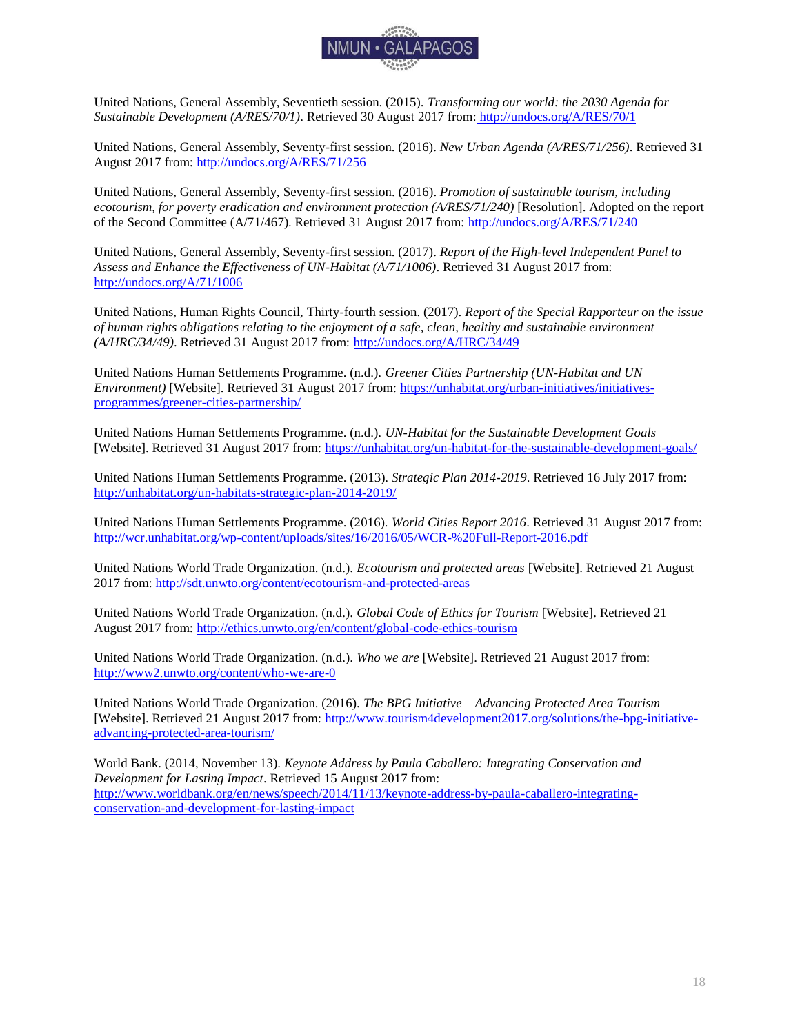

United Nations, General Assembly, Seventieth session. (2015). *Transforming our world: the 2030 Agenda for Sustainable Development (A/RES/70/1)*. Retrieved 30 August 2017 from: <http://undocs.org/A/RES/70/1>

United Nations, General Assembly, Seventy-first session. (2016). *New Urban Agenda (A/RES/71/256)*. Retrieved 31 August 2017 from:<http://undocs.org/A/RES/71/256>

United Nations, General Assembly, Seventy-first session. (2016). *Promotion of sustainable tourism, including ecotourism, for poverty eradication and environment protection (A/RES/71/240)* [Resolution]. Adopted on the report of the Second Committee (A/71/467). Retrieved 31 August 2017 from:<http://undocs.org/A/RES/71/240>

United Nations, General Assembly, Seventy-first session. (2017). *Report of the High-level Independent Panel to Assess and Enhance the Effectiveness of UN-Habitat (A/71/1006)*. Retrieved 31 August 2017 from: <http://undocs.org/A/71/1006>

United Nations, Human Rights Council, Thirty-fourth session. (2017). *Report of the Special Rapporteur on the issue of human rights obligations relating to the enjoyment of a safe, clean, healthy and sustainable environment (A/HRC/34/49)*. Retrieved 31 August 2017 from:<http://undocs.org/A/HRC/34/49>

United Nations Human Settlements Programme. (n.d.). *Greener Cities Partnership (UN-Habitat and UN Environment*) [Website]. Retrieved 31 August 2017 from: [https://unhabitat.org/urban-initiatives/initiatives](https://unhabitat.org/urban-initiatives/initiatives-programmes/greener-cities-partnership/)[programmes/greener-cities-partnership/](https://unhabitat.org/urban-initiatives/initiatives-programmes/greener-cities-partnership/)

United Nations Human Settlements Programme. (n.d.). *UN-Habitat for the Sustainable Development Goals*  [Website]. Retrieved 31 August 2017 from:<https://unhabitat.org/un-habitat-for-the-sustainable-development-goals/>

United Nations Human Settlements Programme. (2013). *Strategic Plan 2014-2019*. Retrieved 16 July 2017 from: <http://unhabitat.org/un-habitats-strategic-plan-2014-2019/>

United Nations Human Settlements Programme. (2016). *World Cities Report 2016*. Retrieved 31 August 2017 from: <http://wcr.unhabitat.org/wp-content/uploads/sites/16/2016/05/WCR-%20Full-Report-2016.pdf>

United Nations World Trade Organization. (n.d.). *Ecotourism and protected areas* [Website]. Retrieved 21 August 2017 from:<http://sdt.unwto.org/content/ecotourism-and-protected-areas>

United Nations World Trade Organization. (n.d.). *Global Code of Ethics for Tourism* [Website]. Retrieved 21 August 2017 from:<http://ethics.unwto.org/en/content/global-code-ethics-tourism>

United Nations World Trade Organization. (n.d.). *Who we are* [Website]. Retrieved 21 August 2017 from: <http://www2.unwto.org/content/who-we-are-0>

United Nations World Trade Organization. (2016). *The BPG Initiative – Advancing Protected Area Tourism* [Website]. Retrieved 21 August 2017 from: [http://www.tourism4development2017.org/solutions/the-bpg-initiative](http://www.tourism4development2017.org/solutions/the-bpg-initiative-advancing-protected-area-tourism/)[advancing-protected-area-tourism/](http://www.tourism4development2017.org/solutions/the-bpg-initiative-advancing-protected-area-tourism/)

World Bank. (2014, November 13). *Keynote Address by Paula Caballero: Integrating Conservation and Development for Lasting Impact*. Retrieved 15 August 2017 from: [http://www.worldbank.org/en/news/speech/2014/11/13/keynote-address-by-paula-caballero-integrating](http://www.worldbank.org/en/news/speech/2014/11/13/keynote-address-by-paula-caballero-integrating-conservation-and-development-for-lasting-impact)[conservation-and-development-for-lasting-impact](http://www.worldbank.org/en/news/speech/2014/11/13/keynote-address-by-paula-caballero-integrating-conservation-and-development-for-lasting-impact)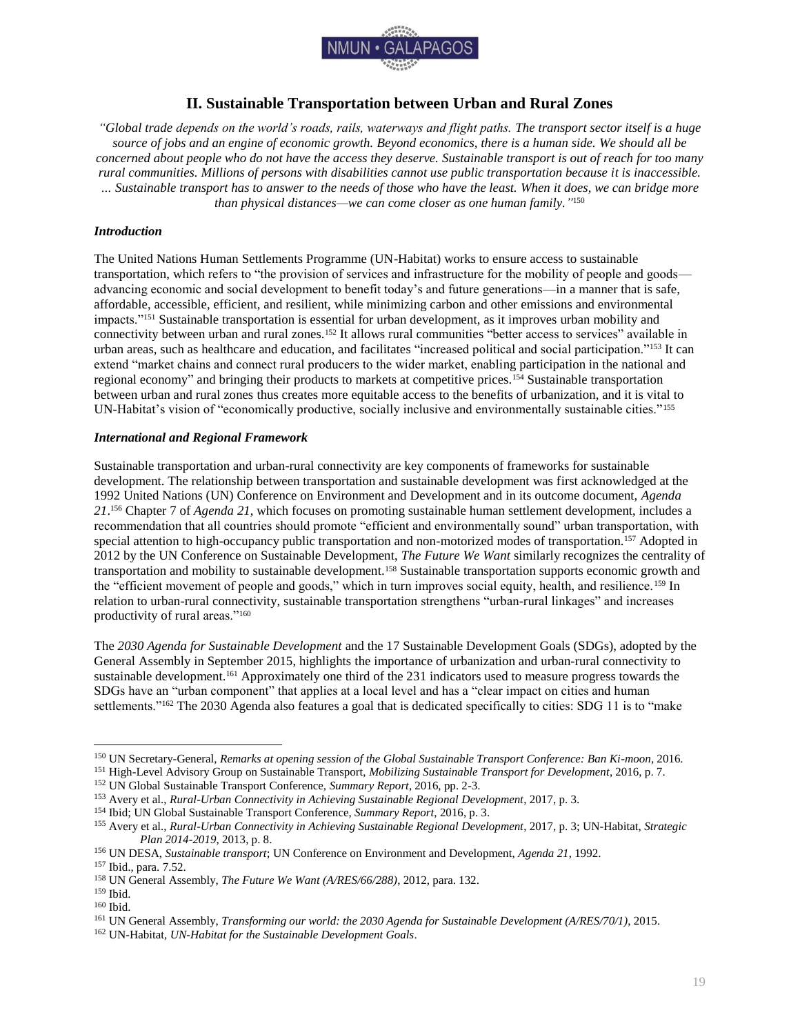

# **II. Sustainable Transportation between Urban and Rural Zones**

<span id="page-19-0"></span>*"Global trade depends on the world's roads, rails, waterways and flight paths. The transport sector itself is a huge source of jobs and an engine of economic growth. Beyond economics, there is a human side. We should all be concerned about people who do not have the access they deserve. Sustainable transport is out of reach for too many rural communities. Millions of persons with disabilities cannot use public transportation because it is inaccessible. … Sustainable transport has to answer to the needs of those who have the least. When it does, we can bridge more than physical distances—we can come closer as one human family."* 150

## <span id="page-19-1"></span>*Introduction*

The United Nations Human Settlements Programme (UN-Habitat) works to ensure access to sustainable transportation, which refers to "the provision of services and infrastructure for the mobility of people and goods advancing economic and social development to benefit today's and future generations—in a manner that is safe, affordable, accessible, efficient, and resilient, while minimizing carbon and other emissions and environmental impacts."<sup>151</sup> Sustainable transportation is essential for urban development, as it improves urban mobility and connectivity between urban and rural zones.<sup>152</sup> It allows rural communities "better access to services" available in urban areas, such as healthcare and education, and facilitates "increased political and social participation."<sup>153</sup> It can extend "market chains and connect rural producers to the wider market, enabling participation in the national and regional economy" and bringing their products to markets at competitive prices.<sup>154</sup> Sustainable transportation between urban and rural zones thus creates more equitable access to the benefits of urbanization, and it is vital to UN-Habitat's vision of "economically productive, socially inclusive and environmentally sustainable cities."<sup>155</sup>

## <span id="page-19-2"></span>*International and Regional Framework*

Sustainable transportation and urban-rural connectivity are key components of frameworks for sustainable development. The relationship between transportation and sustainable development was first acknowledged at the 1992 United Nations (UN) Conference on Environment and Development and in its outcome document, *Agenda 21*. <sup>156</sup> Chapter 7 of *Agenda 21*, which focuses on promoting sustainable human settlement development, includes a recommendation that all countries should promote "efficient and environmentally sound" urban transportation, with special attention to high-occupancy public transportation and non-motorized modes of transportation.<sup>157</sup> Adopted in 2012 by the UN Conference on Sustainable Development, *The Future We Want* similarly recognizes the centrality of transportation and mobility to sustainable development.<sup>158</sup> Sustainable transportation supports economic growth and the "efficient movement of people and goods," which in turn improves social equity, health, and resilience.<sup>159</sup> In relation to urban-rural connectivity, sustainable transportation strengthens "urban-rural linkages" and increases productivity of rural areas."<sup>160</sup>

The *2030 Agenda for Sustainable Development* and the 17 Sustainable Development Goals (SDGs), adopted by the General Assembly in September 2015, highlights the importance of urbanization and urban-rural connectivity to sustainable development.<sup>161</sup> Approximately one third of the 231 indicators used to measure progress towards the SDGs have an "urban component" that applies at a local level and has a "clear impact on cities and human settlements."<sup>162</sup> The 2030 Agenda also features a goal that is dedicated specifically to cities: SDG 11 is to "make

<sup>150</sup> UN Secretary-General, *Remarks at opening session of the Global Sustainable Transport Conference: Ban Ki-moon*, 2016.

<sup>151</sup> High-Level Advisory Group on Sustainable Transport, *Mobilizing Sustainable Transport for Development*, 2016, p. 7.

<sup>152</sup> UN Global Sustainable Transport Conference, *Summary Report*, 2016, pp. 2-3.

<sup>153</sup> Avery et al., *Rural-Urban Connectivity in Achieving Sustainable Regional Development*, 2017, p. 3.

<sup>154</sup> Ibid; UN Global Sustainable Transport Conference, *Summary Report*, 2016, p. 3.

<sup>155</sup> Avery et al., *Rural-Urban Connectivity in Achieving Sustainable Regional Development*, 2017, p. 3; UN-Habitat, *Strategic Plan 2014-2019*, 2013, p. 8.

<sup>156</sup> UN DESA, *Sustainable transport*; UN Conference on Environment and Development, *Agenda 21*, 1992.

<sup>157</sup> Ibid., para. 7.52.

<sup>158</sup> UN General Assembly, *The Future We Want (A/RES/66/288)*, 2012, para. 132.

<sup>159</sup> Ibid.

<sup>160</sup> Ibid.

<sup>161</sup> UN General Assembly, *Transforming our world: the 2030 Agenda for Sustainable Development (A/RES/70/1)*, 2015.

<sup>162</sup> UN-Habitat, *UN-Habitat for the Sustainable Development Goals*.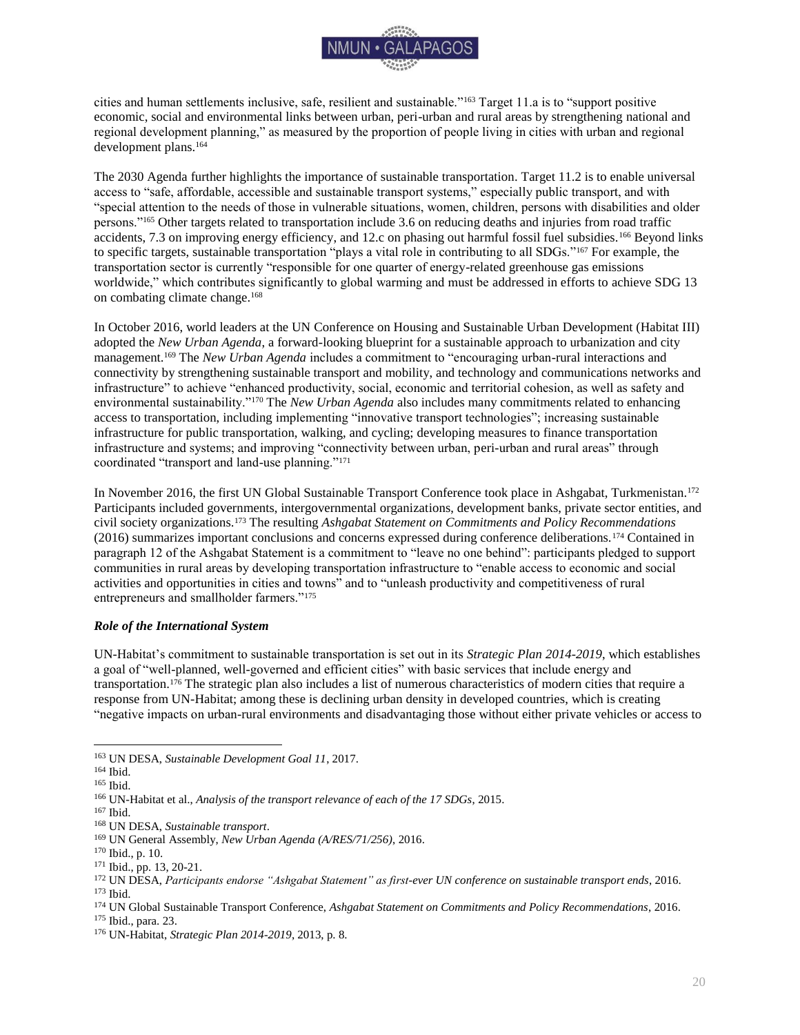

cities and human settlements inclusive, safe, resilient and sustainable."<sup>163</sup> Target 11.a is to "support positive economic, social and environmental links between urban, peri-urban and rural areas by strengthening national and regional development planning," as measured by the proportion of people living in cities with urban and regional development plans.<sup>164</sup>

The 2030 Agenda further highlights the importance of sustainable transportation. Target 11.2 is to enable universal access to "safe, affordable, accessible and sustainable transport systems," especially public transport, and with "special attention to the needs of those in vulnerable situations, women, children, persons with disabilities and older persons."<sup>165</sup> Other targets related to transportation include 3.6 on reducing deaths and injuries from road traffic accidents, 7.3 on improving energy efficiency, and 12.c on phasing out harmful fossil fuel subsidies.<sup>166</sup> Beyond links to specific targets, sustainable transportation "plays a vital role in contributing to all SDGs."<sup>167</sup> For example, the transportation sector is currently "responsible for one quarter of energy-related greenhouse gas emissions worldwide," which contributes significantly to global warming and must be addressed in efforts to achieve SDG 13 on combating climate change.<sup>168</sup>

In October 2016, world leaders at the UN Conference on Housing and Sustainable Urban Development (Habitat III) adopted the *New Urban Agenda*, a forward-looking blueprint for a sustainable approach to urbanization and city management.<sup>169</sup> The *New Urban Agenda* includes a commitment to "encouraging urban-rural interactions and connectivity by strengthening sustainable transport and mobility, and technology and communications networks and infrastructure" to achieve "enhanced productivity, social, economic and territorial cohesion, as well as safety and environmental sustainability."<sup>170</sup> The *New Urban Agenda* also includes many commitments related to enhancing access to transportation, including implementing "innovative transport technologies"; increasing sustainable infrastructure for public transportation, walking, and cycling; developing measures to finance transportation infrastructure and systems; and improving "connectivity between urban, peri-urban and rural areas" through coordinated "transport and land-use planning."<sup>171</sup>

In November 2016, the first UN Global Sustainable Transport Conference took place in Ashgabat, Turkmenistan.<sup>172</sup> Participants included governments, intergovernmental organizations, development banks, private sector entities, and civil society organizations.<sup>173</sup> The resulting *Ashgabat Statement on Commitments and Policy Recommendations*  (2016) summarizes important conclusions and concerns expressed during conference deliberations.<sup>174</sup> Contained in paragraph 12 of the Ashgabat Statement is a commitment to "leave no one behind": participants pledged to support communities in rural areas by developing transportation infrastructure to "enable access to economic and social activities and opportunities in cities and towns" and to "unleash productivity and competitiveness of rural entrepreneurs and smallholder farmers."<sup>175</sup>

### <span id="page-20-0"></span>*Role of the International System*

UN-Habitat's commitment to sustainable transportation is set out in its *Strategic Plan 2014-2019*, which establishes a goal of "well-planned, well-governed and efficient cities" with basic services that include energy and transportation.<sup>176</sup> The strategic plan also includes a list of numerous characteristics of modern cities that require a response from UN-Habitat; among these is declining urban density in developed countries, which is creating "negative impacts on urban-rural environments and disadvantaging those without either private vehicles or access to

<sup>175</sup> Ibid., para. 23.

 $\overline{a}$ <sup>163</sup> UN DESA, *Sustainable Development Goal 11*, 2017.

<sup>164</sup> Ibid.

<sup>165</sup> Ibid.

<sup>166</sup> UN-Habitat et al., *Analysis of the transport relevance of each of the 17 SDGs*, 2015.

<sup>167</sup> Ibid.

<sup>168</sup> UN DESA, *Sustainable transport*.

<sup>169</sup> UN General Assembly, *New Urban Agenda (A/RES/71/256)*, 2016.

<sup>170</sup> Ibid., p. 10.

<sup>171</sup> Ibid., pp. 13, 20-21.

<sup>172</sup> UN DESA, *Participants endorse "Ashgabat Statement" as first-ever UN conference on sustainable transport ends*, 2016. <sup>173</sup> Ibid.

<sup>174</sup> UN Global Sustainable Transport Conference, *Ashgabat Statement on Commitments and Policy Recommendations*, 2016.

<sup>176</sup> UN-Habitat, *Strategic Plan 2014-2019*, 2013, p. 8.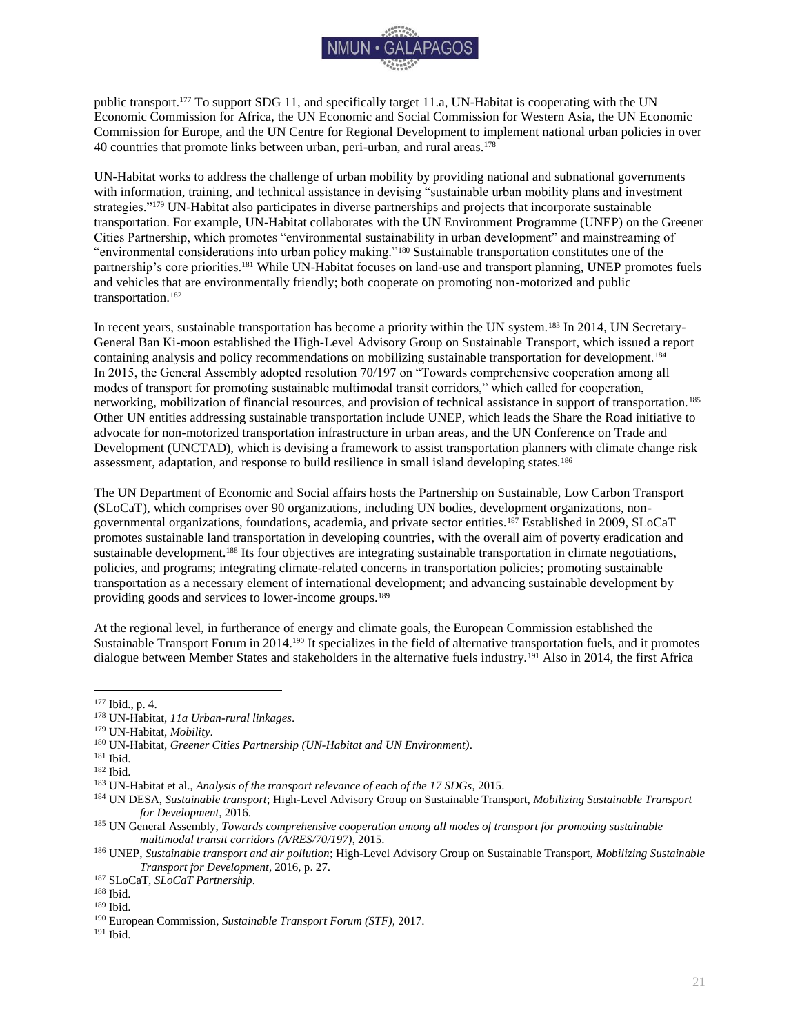

public transport.<sup>177</sup> To support SDG 11, and specifically target 11.a, UN-Habitat is cooperating with the UN Economic Commission for Africa, the UN Economic and Social Commission for Western Asia, the UN Economic Commission for Europe, and the UN Centre for Regional Development to implement national urban policies in over 40 countries that promote links between urban, peri-urban, and rural areas.<sup>178</sup>

UN-Habitat works to address the challenge of urban mobility by providing national and subnational governments with information, training, and technical assistance in devising "sustainable urban mobility plans and investment strategies."<sup>179</sup> UN-Habitat also participates in diverse partnerships and projects that incorporate sustainable transportation. For example, UN-Habitat collaborates with the UN Environment Programme (UNEP) on the Greener Cities Partnership, which promotes "environmental sustainability in urban development" and mainstreaming of "environmental considerations into urban policy making."<sup>180</sup> Sustainable transportation constitutes one of the partnership's core priorities.<sup>181</sup> While UN-Habitat focuses on land-use and transport planning, UNEP promotes fuels and vehicles that are environmentally friendly; both cooperate on promoting non-motorized and public transportation.<sup>182</sup>

In recent years, sustainable transportation has become a priority within the UN system.<sup>183</sup> In 2014, UN Secretary-General Ban Ki-moon established the High-Level Advisory Group on Sustainable Transport, which issued a report containing analysis and policy recommendations on mobilizing sustainable transportation for development.<sup>184</sup> In 2015, the General Assembly adopted resolution 70/197 on "Towards comprehensive cooperation among all modes of transport for promoting sustainable multimodal transit corridors," which called for cooperation, networking, mobilization of financial resources, and provision of technical assistance in support of transportation.<sup>185</sup> Other UN entities addressing sustainable transportation include UNEP, which leads the Share the Road initiative to advocate for non-motorized transportation infrastructure in urban areas, and the UN Conference on Trade and Development (UNCTAD), which is devising a framework to assist transportation planners with climate change risk assessment, adaptation, and response to build resilience in small island developing states.<sup>186</sup>

The UN Department of Economic and Social affairs hosts the Partnership on Sustainable, Low Carbon Transport (SLoCaT), which comprises over 90 organizations, including UN bodies, development organizations, nongovernmental organizations, foundations, academia, and private sector entities.<sup>187</sup> Established in 2009, SLoCaT promotes sustainable land transportation in developing countries, with the overall aim of poverty eradication and sustainable development.<sup>188</sup> Its four objectives are integrating sustainable transportation in climate negotiations, policies, and programs; integrating climate-related concerns in transportation policies; promoting sustainable transportation as a necessary element of international development; and advancing sustainable development by providing goods and services to lower-income groups.<sup>189</sup>

At the regional level, in furtherance of energy and climate goals, the European Commission established the Sustainable Transport Forum in 2014.<sup>190</sup> It specializes in the field of alternative transportation fuels, and it promotes dialogue between Member States and stakeholders in the alternative fuels industry.<sup>191</sup> Also in 2014, the first Africa

<sup>177</sup> Ibid., p. 4.

<sup>178</sup> UN-Habitat, *11a Urban-rural linkages*.

<sup>179</sup> UN-Habitat, *Mobility*.

<sup>180</sup> UN-Habitat, *Greener Cities Partnership (UN-Habitat and UN Environment)*.

<sup>181</sup> Ibid.

<sup>182</sup> Ibid.

<sup>183</sup> UN-Habitat et al., *Analysis of the transport relevance of each of the 17 SDGs*, 2015.

<sup>184</sup> UN DESA, *Sustainable transport*; High-Level Advisory Group on Sustainable Transport, *Mobilizing Sustainable Transport for Development*, 2016.

<sup>185</sup> UN General Assembly, *Towards comprehensive cooperation among all modes of transport for promoting sustainable multimodal transit corridors (A/RES/70/197)*, 2015.

<sup>186</sup> UNEP, *Sustainable transport and air pollution*; High-Level Advisory Group on Sustainable Transport, *Mobilizing Sustainable Transport for Development*, 2016, p. 27.

<sup>187</sup> SLoCaT, *SLoCaT Partnership*.

<sup>188</sup> Ibid.

<sup>189</sup> Ibid.

<sup>190</sup> European Commission, *Sustainable Transport Forum (STF)*, 2017.

<sup>191</sup> Ibid.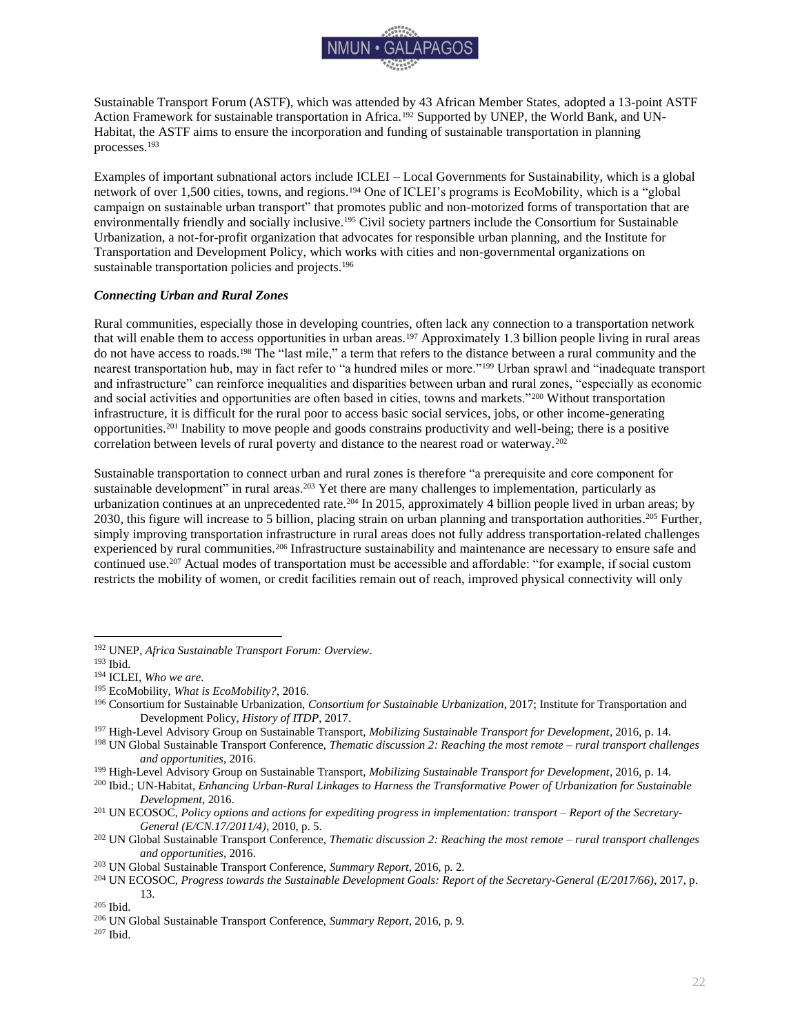

Sustainable Transport Forum (ASTF), which was attended by 43 African Member States, adopted a 13-point ASTF Action Framework for sustainable transportation in Africa.<sup>192</sup> Supported by UNEP, the World Bank, and UN-Habitat, the ASTF aims to ensure the incorporation and funding of sustainable transportation in planning processes.<sup>193</sup>

Examples of important subnational actors include ICLEI – Local Governments for Sustainability, which is a global network of over 1,500 cities, towns, and regions.<sup>194</sup> One of ICLEI's programs is EcoMobility, which is a "global campaign on sustainable urban transport" that promotes public and non-motorized forms of transportation that are environmentally friendly and socially inclusive.<sup>195</sup> Civil society partners include the Consortium for Sustainable Urbanization, a not-for-profit organization that advocates for responsible urban planning, and the Institute for Transportation and Development Policy, which works with cities and non-governmental organizations on sustainable transportation policies and projects.<sup>196</sup>

## <span id="page-22-0"></span>*Connecting Urban and Rural Zones*

Rural communities, especially those in developing countries, often lack any connection to a transportation network that will enable them to access opportunities in urban areas.<sup>197</sup> Approximately 1.3 billion people living in rural areas do not have access to roads.<sup>198</sup> The "last mile," a term that refers to the distance between a rural community and the nearest transportation hub, may in fact refer to "a hundred miles or more."<sup>199</sup> Urban sprawl and "inadequate transport and infrastructure" can reinforce inequalities and disparities between urban and rural zones, "especially as economic and social activities and opportunities are often based in cities, towns and markets."<sup>200</sup> Without transportation infrastructure, it is difficult for the rural poor to access basic social services, jobs, or other income-generating opportunities.<sup>201</sup> Inability to move people and goods constrains productivity and well-being; there is a positive correlation between levels of rural poverty and distance to the nearest road or waterway.<sup>202</sup>

Sustainable transportation to connect urban and rural zones is therefore "a prerequisite and core component for sustainable development" in rural areas.<sup>203</sup> Yet there are many challenges to implementation, particularly as urbanization continues at an unprecedented rate.<sup>204</sup> In 2015, approximately 4 billion people lived in urban areas; by 2030, this figure will increase to 5 billion, placing strain on urban planning and transportation authorities.<sup>205</sup> Further, simply improving transportation infrastructure in rural areas does not fully address transportation-related challenges experienced by rural communities.<sup>206</sup> Infrastructure sustainability and maintenance are necessary to ensure safe and continued use.<sup>207</sup> Actual modes of transportation must be accessible and affordable: "for example, if social custom restricts the mobility of women, or credit facilities remain out of reach, improved physical connectivity will only

<sup>192</sup> UNEP, *Africa Sustainable Transport Forum: Overview*.

<sup>193</sup> Ibid.

<sup>194</sup> ICLEI, *Who we are*.

<sup>195</sup> EcoMobility, *What is EcoMobility?*, 2016.

<sup>196</sup> Consortium for Sustainable Urbanization, *Consortium for Sustainable Urbanization*, 2017; Institute for Transportation and Development Policy, *History of ITDP*, 2017.

<sup>197</sup> High-Level Advisory Group on Sustainable Transport, *Mobilizing Sustainable Transport for Development*, 2016, p. 14.

<sup>198</sup> UN Global Sustainable Transport Conference, *Thematic discussion 2: Reaching the most remote – rural transport challenges and opportunities*, 2016.

<sup>199</sup> High-Level Advisory Group on Sustainable Transport, *Mobilizing Sustainable Transport for Development*, 2016, p. 14.

<sup>200</sup> Ibid.; UN-Habitat, *Enhancing Urban-Rural Linkages to Harness the Transformative Power of Urbanization for Sustainable Development*, 2016.

<sup>201</sup> UN ECOSOC, *Policy options and actions for expediting progress in implementation: transport – Report of the Secretary-General (E/CN.17/2011/4)*, 2010, p. 5.

<sup>202</sup> UN Global Sustainable Transport Conference, *Thematic discussion 2: Reaching the most remote – rural transport challenges and opportunities*, 2016.

<sup>203</sup> UN Global Sustainable Transport Conference, *Summary Report*, 2016, p. 2.

<sup>204</sup> UN ECOSOC, *Progress towards the Sustainable Development Goals: Report of the Secretary-General (E/2017/66)*, 2017, p. 13.

<sup>205</sup> Ibid.

<sup>206</sup> UN Global Sustainable Transport Conference, *Summary Report*, 2016, p. 9.

<sup>207</sup> Ibid.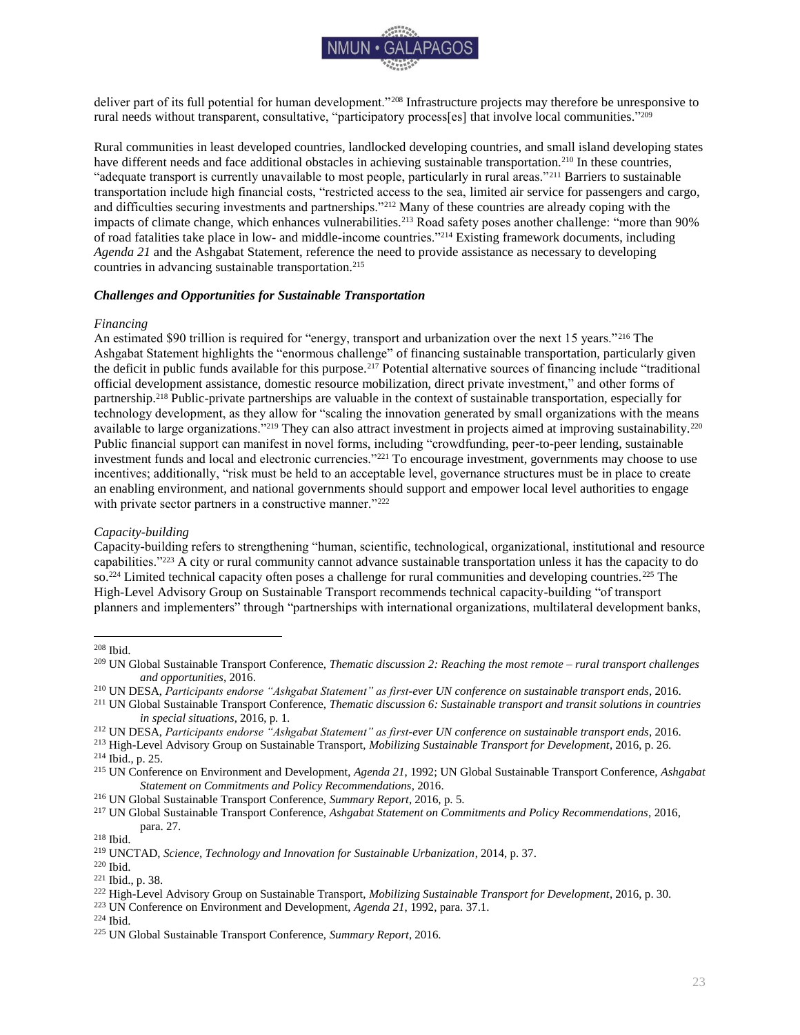

deliver part of its full potential for human development."<sup>208</sup> Infrastructure projects may therefore be unresponsive to rural needs without transparent, consultative, "participatory process[es] that involve local communities." 209

Rural communities in least developed countries, landlocked developing countries, and small island developing states have different needs and face additional obstacles in achieving sustainable transportation.<sup>210</sup> In these countries, "adequate transport is currently unavailable to most people, particularly in rural areas."<sup>211</sup> Barriers to sustainable transportation include high financial costs, "restricted access to the sea, limited air service for passengers and cargo, and difficulties securing investments and partnerships."<sup>212</sup> Many of these countries are already coping with the impacts of climate change, which enhances vulnerabilities.<sup>213</sup> Road safety poses another challenge: "more than 90% of road fatalities take place in low- and middle-income countries."<sup>214</sup> Existing framework documents, including *Agenda 21* and the Ashgabat Statement, reference the need to provide assistance as necessary to developing countries in advancing sustainable transportation.<sup>215</sup>

#### <span id="page-23-0"></span>*Challenges and Opportunities for Sustainable Transportation*

#### *Financing*

An estimated \$90 trillion is required for "energy, transport and urbanization over the next 15 years."<sup>216</sup> The Ashgabat Statement highlights the "enormous challenge" of financing sustainable transportation, particularly given the deficit in public funds available for this purpose.<sup>217</sup> Potential alternative sources of financing include "traditional" official development assistance, domestic resource mobilization, direct private investment," and other forms of partnership.<sup>218</sup> Public-private partnerships are valuable in the context of sustainable transportation, especially for technology development, as they allow for "scaling the innovation generated by small organizations with the means available to large organizations."<sup>219</sup> They can also attract investment in projects aimed at improving sustainability.<sup>220</sup> Public financial support can manifest in novel forms, including "crowdfunding, peer-to-peer lending, sustainable investment funds and local and electronic currencies."<sup>221</sup> To encourage investment, governments may choose to use incentives; additionally, "risk must be held to an acceptable level, governance structures must be in place to create an enabling environment, and national governments should support and empower local level authorities to engage with private sector partners in a constructive manner."<sup>222</sup>

## *Capacity-building*

Capacity-building refers to strengthening "human, scientific, technological, organizational, institutional and resource capabilities."<sup>223</sup> A city or rural community cannot advance sustainable transportation unless it has the capacity to do so.<sup>224</sup> Limited technical capacity often poses a challenge for rural communities and developing countries.<sup>225</sup> The High-Level Advisory Group on Sustainable Transport recommends technical capacity-building "of transport planners and implementers" through "partnerships with international organizations, multilateral development banks,

<sup>208</sup> Ibid.

<sup>209</sup> UN Global Sustainable Transport Conference, *Thematic discussion 2: Reaching the most remote – rural transport challenges and opportunities*, 2016.

<sup>210</sup> UN DESA, *Participants endorse "Ashgabat Statement" as first-ever UN conference on sustainable transport ends*, 2016.

<sup>211</sup> UN Global Sustainable Transport Conference, *Thematic discussion 6: Sustainable transport and transit solutions in countries in special situations*, 2016, p. 1.

<sup>212</sup> UN DESA, *Participants endorse "Ashgabat Statement" as first-ever UN conference on sustainable transport ends*, 2016.

<sup>213</sup> High-Level Advisory Group on Sustainable Transport, *Mobilizing Sustainable Transport for Development*, 2016, p. 26. <sup>214</sup> Ibid., p. 25.

<sup>215</sup> UN Conference on Environment and Development, *Agenda 21*, 1992; UN Global Sustainable Transport Conference, *Ashgabat Statement on Commitments and Policy Recommendations*, 2016.

<sup>216</sup> UN Global Sustainable Transport Conference, *Summary Report*, 2016, p. 5.

<sup>217</sup> UN Global Sustainable Transport Conference, *Ashgabat Statement on Commitments and Policy Recommendations*, 2016, para. 27.

<sup>218</sup> Ibid.

<sup>219</sup> UNCTAD, *Science, Technology and Innovation for Sustainable Urbanization*, 2014, p. 37.

<sup>220</sup> Ibid.

<sup>221</sup> Ibid., p. 38.

<sup>222</sup> High-Level Advisory Group on Sustainable Transport, *Mobilizing Sustainable Transport for Development*, 2016, p. 30.

<sup>223</sup> UN Conference on Environment and Development, *Agenda 21*, 1992, para. 37.1.

<sup>224</sup> Ibid.

<sup>225</sup> UN Global Sustainable Transport Conference, *Summary Report*, 2016.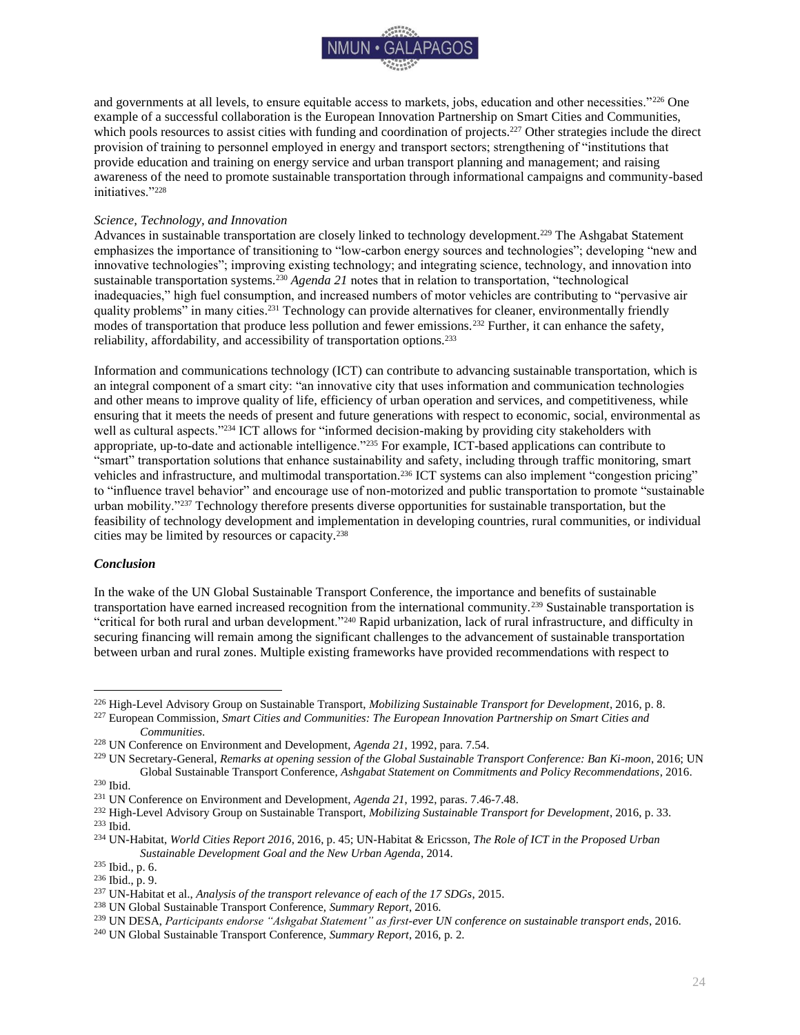

and governments at all levels, to ensure equitable access to markets, jobs, education and other necessities."<sup>226</sup> One example of a successful collaboration is the European Innovation Partnership on Smart Cities and Communities, which pools resources to assist cities with funding and coordination of projects.<sup>227</sup> Other strategies include the direct provision of training to personnel employed in energy and transport sectors; strengthening of "institutions that provide education and training on energy service and urban transport planning and management; and raising awareness of the need to promote sustainable transportation through informational campaigns and community-based initiatives."<sup>228</sup>

#### *Science, Technology, and Innovation*

Advances in sustainable transportation are closely linked to technology development.<sup>229</sup> The Ashgabat Statement emphasizes the importance of transitioning to "low-carbon energy sources and technologies"; developing "new and innovative technologies"; improving existing technology; and integrating science, technology, and innovation into sustainable transportation systems.<sup>230</sup> *Agenda 21* notes that in relation to transportation, "technological inadequacies," high fuel consumption, and increased numbers of motor vehicles are contributing to "pervasive air quality problems" in many cities.<sup>231</sup> Technology can provide alternatives for cleaner, environmentally friendly modes of transportation that produce less pollution and fewer emissions.<sup>232</sup> Further, it can enhance the safety, reliability, affordability, and accessibility of transportation options.<sup>233</sup>

Information and communications technology (ICT) can contribute to advancing sustainable transportation, which is an integral component of a smart city: "an innovative city that uses information and communication technologies and other means to improve quality of life, efficiency of urban operation and services, and competitiveness, while ensuring that it meets the needs of present and future generations with respect to economic, social, environmental as well as cultural aspects."<sup>234</sup> ICT allows for "informed decision-making by providing city stakeholders with appropriate, up-to-date and actionable intelligence."<sup>235</sup> For example, ICT-based applications can contribute to "smart" transportation solutions that enhance sustainability and safety, including through traffic monitoring, smart vehicles and infrastructure, and multimodal transportation.<sup>236</sup> ICT systems can also implement "congestion pricing" to "influence travel behavior" and encourage use of non-motorized and public transportation to promote "sustainable urban mobility."<sup>237</sup> Technology therefore presents diverse opportunities for sustainable transportation, but the feasibility of technology development and implementation in developing countries, rural communities, or individual cities may be limited by resources or capacity.<sup>238</sup>

#### <span id="page-24-0"></span>*Conclusion*

In the wake of the UN Global Sustainable Transport Conference, the importance and benefits of sustainable transportation have earned increased recognition from the international community.<sup>239</sup> Sustainable transportation is "critical for both rural and urban development."<sup>240</sup> Rapid urbanization, lack of rural infrastructure, and difficulty in securing financing will remain among the significant challenges to the advancement of sustainable transportation between urban and rural zones. Multiple existing frameworks have provided recommendations with respect to

<sup>229</sup> UN Secretary-General, *Remarks at opening session of the Global Sustainable Transport Conference: Ban Ki-moon*, 2016; UN Global Sustainable Transport Conference, *Ashgabat Statement on Commitments and Policy Recommendations*, 2016.

<sup>226</sup> High-Level Advisory Group on Sustainable Transport, *Mobilizing Sustainable Transport for Development*, 2016, p. 8.

<sup>227</sup> European Commission, *Smart Cities and Communities: The European Innovation Partnership on Smart Cities and Communities*.

<sup>228</sup> UN Conference on Environment and Development, *Agenda 21*, 1992, para. 7.54.

<sup>230</sup> Ibid.

<sup>231</sup> UN Conference on Environment and Development, *Agenda 21*, 1992, paras. 7.46-7.48.

<sup>232</sup> High-Level Advisory Group on Sustainable Transport, *Mobilizing Sustainable Transport for Development*, 2016, p. 33. <sup>233</sup> Ibid.

<sup>234</sup> UN-Habitat, *World Cities Report 2016*, 2016, p. 45; UN-Habitat & Ericsson, *The Role of ICT in the Proposed Urban Sustainable Development Goal and the New Urban Agenda*, 2014.

<sup>235</sup> Ibid., p. 6.

<sup>236</sup> Ibid., p. 9.

<sup>237</sup> UN-Habitat et al., *Analysis of the transport relevance of each of the 17 SDGs*, 2015.

<sup>238</sup> UN Global Sustainable Transport Conference, *Summary Report*, 2016.

<sup>239</sup> UN DESA, *Participants endorse "Ashgabat Statement" as first-ever UN conference on sustainable transport ends*, 2016.

<sup>240</sup> UN Global Sustainable Transport Conference, *Summary Report*, 2016, p. 2.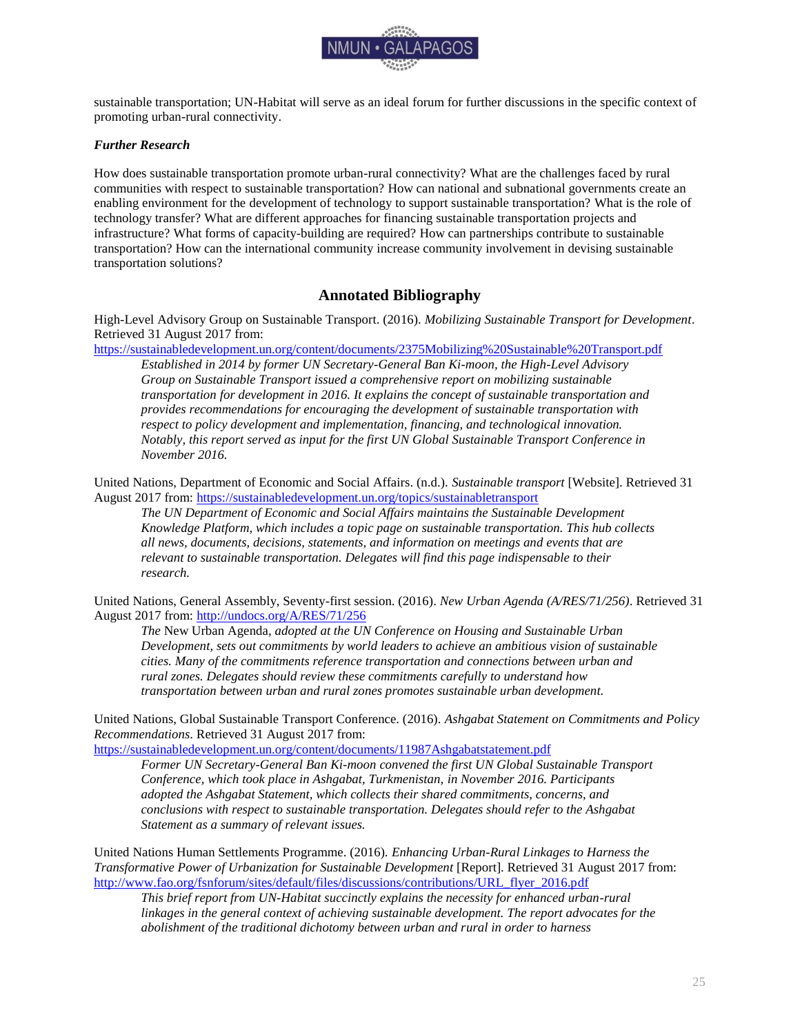

sustainable transportation; UN-Habitat will serve as an ideal forum for further discussions in the specific context of promoting urban-rural connectivity.

## <span id="page-25-0"></span>*Further Research*

How does sustainable transportation promote urban-rural connectivity? What are the challenges faced by rural communities with respect to sustainable transportation? How can national and subnational governments create an enabling environment for the development of technology to support sustainable transportation? What is the role of technology transfer? What are different approaches for financing sustainable transportation projects and infrastructure? What forms of capacity-building are required? How can partnerships contribute to sustainable transportation? How can the international community increase community involvement in devising sustainable transportation solutions?

# **Annotated Bibliography**

<span id="page-25-1"></span>High-Level Advisory Group on Sustainable Transport. (2016). *Mobilizing Sustainable Transport for Development*. Retrieved 31 August 2017 from:

<https://sustainabledevelopment.un.org/content/documents/2375Mobilizing%20Sustainable%20Transport.pdf>

*Established in 2014 by former UN Secretary-General Ban Ki-moon, the High-Level Advisory Group on Sustainable Transport issued a comprehensive report on mobilizing sustainable transportation for development in 2016. It explains the concept of sustainable transportation and provides recommendations for encouraging the development of sustainable transportation with respect to policy development and implementation, financing, and technological innovation. Notably, this report served as input for the first UN Global Sustainable Transport Conference in November 2016.*

United Nations, Department of Economic and Social Affairs. (n.d.). *Sustainable transport* [Website]. Retrieved 31 August 2017 from:<https://sustainabledevelopment.un.org/topics/sustainabletransport>

*The UN Department of Economic and Social Affairs maintains the Sustainable Development Knowledge Platform, which includes a topic page on sustainable transportation. This hub collects all news, documents, decisions, statements, and information on meetings and events that are relevant to sustainable transportation. Delegates will find this page indispensable to their research.*

United Nations, General Assembly, Seventy-first session. (2016). *New Urban Agenda (A/RES/71/256)*. Retrieved 31 August 2017 from:<http://undocs.org/A/RES/71/256>

*The* New Urban Agenda*, adopted at the UN Conference on Housing and Sustainable Urban Development, sets out commitments by world leaders to achieve an ambitious vision of sustainable cities. Many of the commitments reference transportation and connections between urban and rural zones. Delegates should review these commitments carefully to understand how transportation between urban and rural zones promotes sustainable urban development.*

United Nations, Global Sustainable Transport Conference. (2016). *Ashgabat Statement on Commitments and Policy Recommendations*. Retrieved 31 August 2017 from:

<https://sustainabledevelopment.un.org/content/documents/11987Ashgabatstatement.pdf>

*Former UN Secretary-General Ban Ki-moon convened the first UN Global Sustainable Transport Conference, which took place in Ashgabat, Turkmenistan, in November 2016. Participants adopted the Ashgabat Statement, which collects their shared commitments, concerns, and conclusions with respect to sustainable transportation. Delegates should refer to the Ashgabat Statement as a summary of relevant issues.*

United Nations Human Settlements Programme. (2016). *Enhancing Urban-Rural Linkages to Harness the Transformative Power of Urbanization for Sustainable Development* [Report]. Retrieved 31 August 2017 from: [http://www.fao.org/fsnforum/sites/default/files/discussions/contributions/URL\\_flyer\\_2016.pdf](http://www.fao.org/fsnforum/sites/default/files/discussions/contributions/URL_flyer_2016.pdf)

*This brief report from UN-Habitat succinctly explains the necessity for enhanced urban-rural*  linkages in the general context of achieving sustainable development. The report advocates for the *abolishment of the traditional dichotomy between urban and rural in order to harness*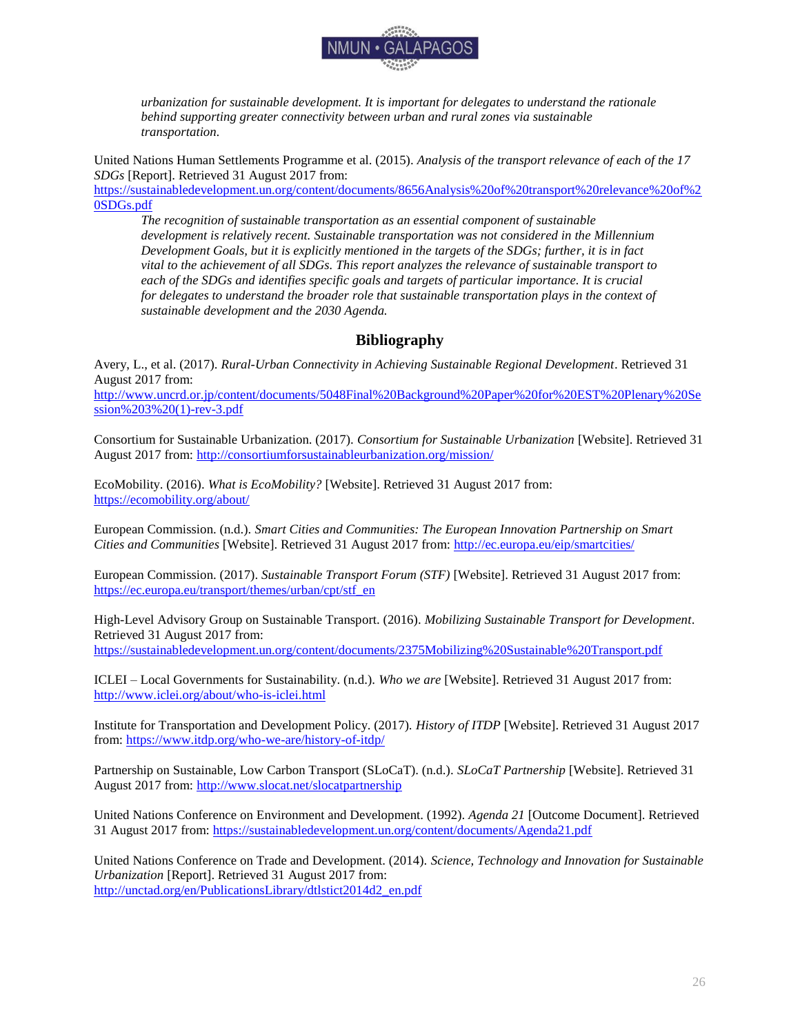

*urbanization for sustainable development. It is important for delegates to understand the rationale behind supporting greater connectivity between urban and rural zones via sustainable transportation.*

United Nations Human Settlements Programme et al. (2015). *Analysis of the transport relevance of each of the 17 SDGs* [Report]. Retrieved 31 August 2017 from:

[https://sustainabledevelopment.un.org/content/documents/8656Analysis%20of%20transport%20relevance%20of%2](https://sustainabledevelopment.un.org/content/documents/8656Analysis%20of%20transport%20relevance%20of%20SDGs.pdf) [0SDGs.pdf](https://sustainabledevelopment.un.org/content/documents/8656Analysis%20of%20transport%20relevance%20of%20SDGs.pdf)

*The recognition of sustainable transportation as an essential component of sustainable development is relatively recent. Sustainable transportation was not considered in the Millennium Development Goals, but it is explicitly mentioned in the targets of the SDGs; further, it is in fact vital to the achievement of all SDGs. This report analyzes the relevance of sustainable transport to*  each of the SDGs and identifies specific goals and targets of particular *importance*. It is crucial *for delegates to understand the broader role that sustainable transportation plays in the context of sustainable development and the 2030 Agenda.*

# **Bibliography**

<span id="page-26-0"></span>Avery, L., et al. (2017). *Rural-Urban Connectivity in Achieving Sustainable Regional Development*. Retrieved 31 August 2017 from:

[http://www.uncrd.or.jp/content/documents/5048Final%20Background%20Paper%20for%20EST%20Plenary%20Se](http://www.uncrd.or.jp/content/documents/5048Final%20Background%20Paper%20for%20EST%20Plenary%20Session%203%20(1)-rev-3.pdf) [ssion%203%20\(1\)-rev-3.pdf](http://www.uncrd.or.jp/content/documents/5048Final%20Background%20Paper%20for%20EST%20Plenary%20Session%203%20(1)-rev-3.pdf)

Consortium for Sustainable Urbanization. (2017). *Consortium for Sustainable Urbanization* [Website]. Retrieved 31 August 2017 from:<http://consortiumforsustainableurbanization.org/mission/>

EcoMobility. (2016). *What is EcoMobility?* [Website]. Retrieved 31 August 2017 from: <https://ecomobility.org/about/>

European Commission. (n.d.). *Smart Cities and Communities: The European Innovation Partnership on Smart Cities and Communities* [Website]. Retrieved 31 August 2017 from: <http://ec.europa.eu/eip/smartcities/>

European Commission. (2017). *Sustainable Transport Forum (STF)* [Website]. Retrieved 31 August 2017 from: [https://ec.europa.eu/transport/themes/urban/cpt/stf\\_en](https://ec.europa.eu/transport/themes/urban/cpt/stf_en)

High-Level Advisory Group on Sustainable Transport. (2016). *Mobilizing Sustainable Transport for Development*. Retrieved 31 August 2017 from: <https://sustainabledevelopment.un.org/content/documents/2375Mobilizing%20Sustainable%20Transport.pdf>

ICLEI – Local Governments for Sustainability. (n.d.). *Who we are* [Website]. Retrieved 31 August 2017 from: <http://www.iclei.org/about/who-is-iclei.html>

Institute for Transportation and Development Policy. (2017). *History of ITDP* [Website]. Retrieved 31 August 2017 from[: https://www.itdp.org/who-we-are/history-of-itdp/](https://www.itdp.org/who-we-are/history-of-itdp/)

Partnership on Sustainable, Low Carbon Transport (SLoCaT). (n.d.). *SLoCaT Partnership* [Website]. Retrieved 31 August 2017 from:<http://www.slocat.net/slocatpartnership>

United Nations Conference on Environment and Development. (1992). *Agenda 21* [Outcome Document]. Retrieved 31 August 2017 from:<https://sustainabledevelopment.un.org/content/documents/Agenda21.pdf>

United Nations Conference on Trade and Development. (2014). *Science, Technology and Innovation for Sustainable Urbanization* [Report]. Retrieved 31 August 2017 from: [http://unctad.org/en/PublicationsLibrary/dtlstict2014d2\\_en.pdf](http://unctad.org/en/PublicationsLibrary/dtlstict2014d2_en.pdf)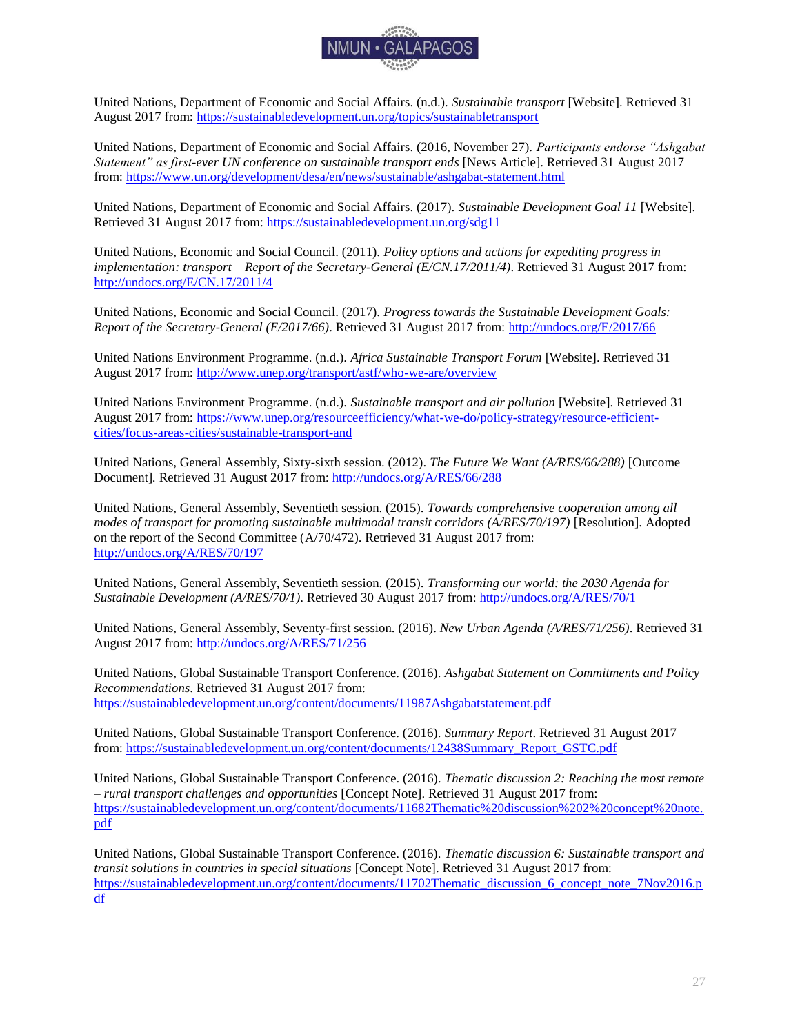

United Nations, Department of Economic and Social Affairs. (n.d.). *Sustainable transport* [Website]. Retrieved 31 August 2017 from:<https://sustainabledevelopment.un.org/topics/sustainabletransport>

United Nations, Department of Economic and Social Affairs. (2016, November 27). *Participants endorse "Ashgabat Statement" as first-ever UN conference on sustainable transport ends* [News Article]. Retrieved 31 August 2017 from[: https://www.un.org/development/desa/en/news/sustainable/ashgabat-statement.html](https://www.un.org/development/desa/en/news/sustainable/ashgabat-statement.html) 

United Nations, Department of Economic and Social Affairs. (2017). *Sustainable Development Goal 11* [Website]. Retrieved 31 August 2017 from:<https://sustainabledevelopment.un.org/sdg11>

United Nations, Economic and Social Council. (2011). *Policy options and actions for expediting progress in implementation: transport – Report of the Secretary-General (E/CN.17/2011/4)*. Retrieved 31 August 2017 from: <http://undocs.org/E/CN.17/2011/4>

United Nations, Economic and Social Council. (2017). *Progress towards the Sustainable Development Goals: Report of the Secretary-General (E/2017/66)*. Retrieved 31 August 2017 from:<http://undocs.org/E/2017/66>

United Nations Environment Programme. (n.d.). *Africa Sustainable Transport Forum* [Website]. Retrieved 31 August 2017 from:<http://www.unep.org/transport/astf/who-we-are/overview>

United Nations Environment Programme. (n.d.). *Sustainable transport and air pollution* [Website]. Retrieved 31 August 2017 from: [https://www.unep.org/resourceefficiency/what-we-do/policy-strategy/resource-efficient](https://www.unep.org/resourceefficiency/what-we-do/policy-strategy/resource-efficient-cities/focus-areas-cities/sustainable-transport-and)[cities/focus-areas-cities/sustainable-transport-and](https://www.unep.org/resourceefficiency/what-we-do/policy-strategy/resource-efficient-cities/focus-areas-cities/sustainable-transport-and)

United Nations, General Assembly, Sixty-sixth session. (2012). *The Future We Want (A/RES/66/288)* [Outcome Document]*.* Retrieved 31 August 2017 from: [http://undocs.org/A/RES/66/288](http://undocs.org/a/res/66/288)

United Nations, General Assembly, Seventieth session. (2015). *Towards comprehensive cooperation among all modes of transport for promoting sustainable multimodal transit corridors (A/RES/70/197)* [Resolution]. Adopted on the report of the Second Committee (A/70/472). Retrieved 31 August 2017 from: <http://undocs.org/A/RES/70/197>

United Nations, General Assembly, Seventieth session. (2015). *Transforming our world: the 2030 Agenda for Sustainable Development (A/RES/70/1)*. Retrieved 30 August 2017 from: <http://undocs.org/A/RES/70/1>

United Nations, General Assembly, Seventy-first session. (2016). *New Urban Agenda (A/RES/71/256)*. Retrieved 31 August 2017 from:<http://undocs.org/A/RES/71/256>

United Nations, Global Sustainable Transport Conference. (2016). *Ashgabat Statement on Commitments and Policy Recommendations*. Retrieved 31 August 2017 from: <https://sustainabledevelopment.un.org/content/documents/11987Ashgabatstatement.pdf>

United Nations, Global Sustainable Transport Conference. (2016). *Summary Report*. Retrieved 31 August 2017 from[: https://sustainabledevelopment.un.org/content/documents/12438Summary\\_Report\\_GSTC.pdf](https://sustainabledevelopment.un.org/content/documents/12438Summary_Report_GSTC.pdf)

United Nations, Global Sustainable Transport Conference. (2016). *Thematic discussion 2: Reaching the most remote – rural transport challenges and opportunities* [Concept Note]. Retrieved 31 August 2017 from: [https://sustainabledevelopment.un.org/content/documents/11682Thematic%20discussion%202%20concept%20note.](https://sustainabledevelopment.un.org/content/documents/11682Thematic%20discussion%202%20concept%20note.pdf) [pdf](https://sustainabledevelopment.un.org/content/documents/11682Thematic%20discussion%202%20concept%20note.pdf)

United Nations, Global Sustainable Transport Conference. (2016). *Thematic discussion 6: Sustainable transport and transit solutions in countries in special situations* [Concept Note]. Retrieved 31 August 2017 from: [https://sustainabledevelopment.un.org/content/documents/11702Thematic\\_discussion\\_6\\_concept\\_note\\_7Nov2016.p](https://sustainabledevelopment.un.org/content/documents/11702Thematic_discussion_6_concept_note_7Nov2016.pdf) [df](https://sustainabledevelopment.un.org/content/documents/11702Thematic_discussion_6_concept_note_7Nov2016.pdf)